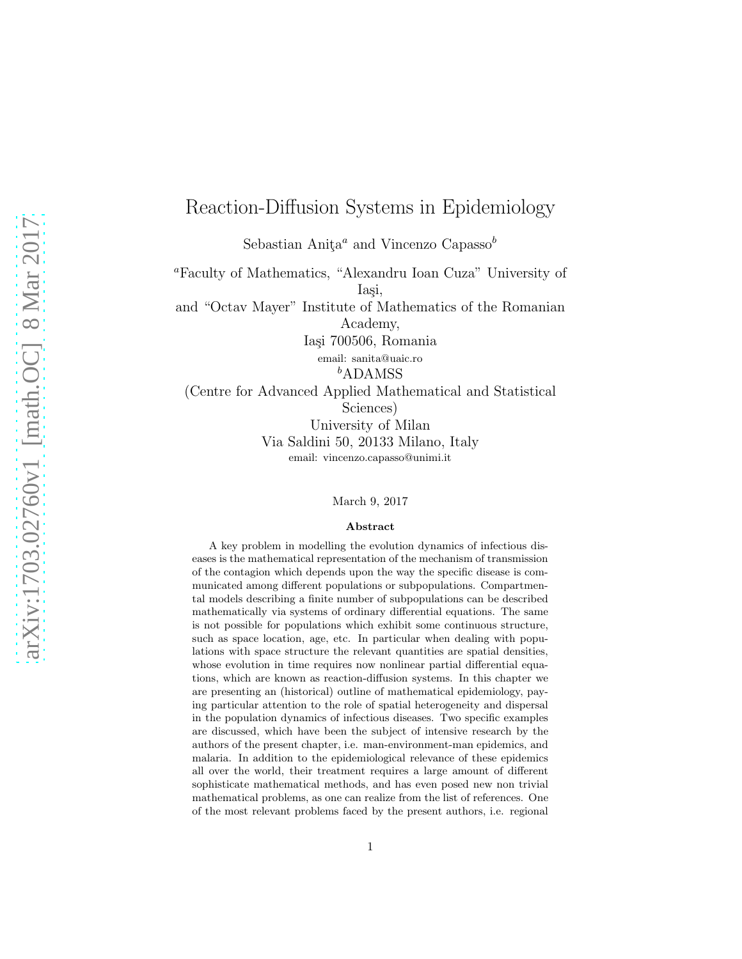## Reaction-Diffusion Systems in Epidemiology

Sebastian Anita<sup>a</sup> and Vincenzo Capasso<sup>b</sup>

<sup>a</sup>Faculty of Mathematics, "Alexandru Ioan Cuza" University of Iasi, and "Octav Mayer" Institute of Mathematics of the Romanian Academy, Iași 700506, Romania email: sanita@uaic.ro <sup>b</sup>ADAMSS (Centre for Advanced Applied Mathematical and Statistical Sciences)

University of Milan Via Saldini 50, 20133 Milano, Italy email: vincenzo.capasso@unimi.it

March 9, 2017

#### Abstract

A key problem in modelling the evolution dynamics of infectious diseases is the mathematical representation of the mechanism of transmission of the contagion which depends upon the way the specific disease is communicated among different populations or subpopulations. Compartmental models describing a finite number of subpopulations can be described mathematically via systems of ordinary differential equations. The same is not possible for populations which exhibit some continuous structure, such as space location, age, etc. In particular when dealing with populations with space structure the relevant quantities are spatial densities, whose evolution in time requires now nonlinear partial differential equations, which are known as reaction-diffusion systems. In this chapter we are presenting an (historical) outline of mathematical epidemiology, paying particular attention to the role of spatial heterogeneity and dispersal in the population dynamics of infectious diseases. Two specific examples are discussed, which have been the subject of intensive research by the authors of the present chapter, i.e. man-environment-man epidemics, and malaria. In addition to the epidemiological relevance of these epidemics all over the world, their treatment requires a large amount of different sophisticate mathematical methods, and has even posed new non trivial mathematical problems, as one can realize from the list of references. One of the most relevant problems faced by the present authors, i.e. regional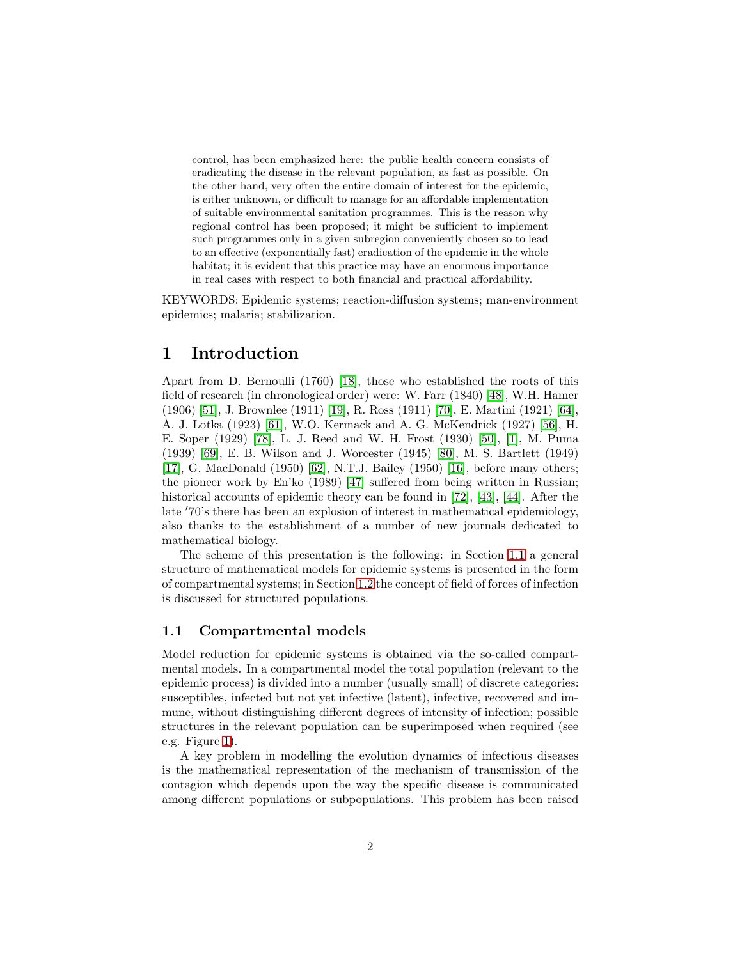control, has been emphasized here: the public health concern consists of eradicating the disease in the relevant population, as fast as possible. On the other hand, very often the entire domain of interest for the epidemic, is either unknown, or difficult to manage for an affordable implementation of suitable environmental sanitation programmes. This is the reason why regional control has been proposed; it might be sufficient to implement such programmes only in a given subregion conveniently chosen so to lead to an effective (exponentially fast) eradication of the epidemic in the whole habitat; it is evident that this practice may have an enormous importance in real cases with respect to both financial and practical affordability.

KEYWORDS: Epidemic systems; reaction-diffusion systems; man-environment epidemics; malaria; stabilization.

## 1 Introduction

Apart from D. Bernoulli (1760) [\[18\]](#page-21-0), those who established the roots of this field of research (in chronological order) were: W. Farr (1840) [\[48\]](#page-24-0), W.H. Hamer (1906) [\[51\]](#page-24-1), J. Brownlee (1911) [\[19\]](#page-21-1), R. Ross (1911) [\[70\]](#page-25-0), E. Martini (1921) [\[64\]](#page-25-1), A. J. Lotka (1923) [\[61\]](#page-24-2), W.O. Kermack and A. G. McKendrick (1927) [\[56\]](#page-24-3), H. E. Soper (1929) [\[78\]](#page-26-0), L. J. Reed and W. H. Frost (1930) [\[50\]](#page-24-4), [\[1\]](#page-20-0), M. Puma (1939) [\[69\]](#page-25-2), E. B. Wilson and J. Worcester (1945) [\[80\]](#page-26-1), M. S. Bartlett (1949) [\[17\]](#page-21-2), G. MacDonald (1950) [\[62\]](#page-25-3), N.T.J. Bailey (1950) [\[16\]](#page-21-3), before many others; the pioneer work by En'ko (1989) [\[47\]](#page-24-5) suffered from being written in Russian; historical accounts of epidemic theory can be found in [\[72\]](#page-25-4), [\[43\]](#page-23-0), [\[44\]](#page-23-1). After the late ′70's there has been an explosion of interest in mathematical epidemiology, also thanks to the establishment of a number of new journals dedicated to mathematical biology.

The scheme of this presentation is the following: in Section [1.1](#page-1-0) a general structure of mathematical models for epidemic systems is presented in the form of compartmental systems; in Section [1.2](#page-3-0) the concept of field of forces of infection is discussed for structured populations.

#### <span id="page-1-0"></span>1.1 Compartmental models

Model reduction for epidemic systems is obtained via the so-called compartmental models. In a compartmental model the total population (relevant to the epidemic process) is divided into a number (usually small) of discrete categories: susceptibles, infected but not yet infective (latent), infective, recovered and immune, without distinguishing different degrees of intensity of infection; possible structures in the relevant population can be superimposed when required (see e.g. Figure [1\)](#page-2-0).

A key problem in modelling the evolution dynamics of infectious diseases is the mathematical representation of the mechanism of transmission of the contagion which depends upon the way the specific disease is communicated among different populations or subpopulations. This problem has been raised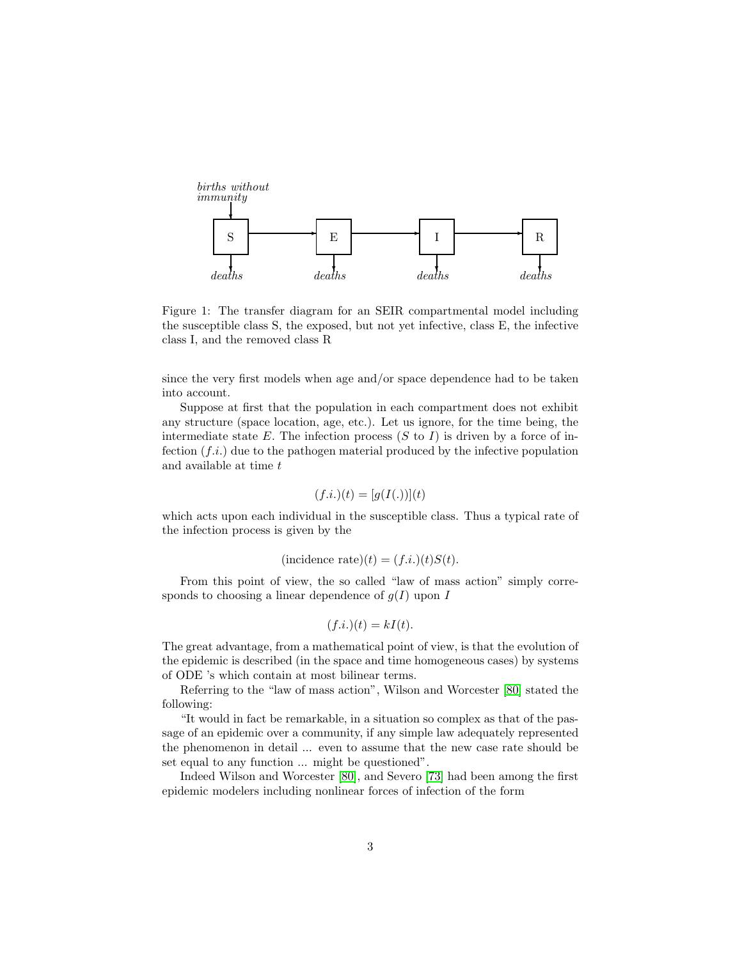

<span id="page-2-0"></span>Figure 1: The transfer diagram for an SEIR compartmental model including the susceptible class S, the exposed, but not yet infective, class E, the infective class I, and the removed class R

since the very first models when age and/or space dependence had to be taken into account.

Suppose at first that the population in each compartment does not exhibit any structure (space location, age, etc.). Let us ignore, for the time being, the intermediate state  $E$ . The infection process  $(S$  to  $I)$  is driven by a force of infection  $(f.i.)$  due to the pathogen material produced by the infective population and available at time  $t$ 

$$
(f.i.)(t) = [g(I(.))](t)
$$

which acts upon each individual in the susceptible class. Thus a typical rate of the infection process is given by the

(incidence rate)(*t*) = 
$$
(f.i.)(t)S(t)
$$
.

From this point of view, the so called "law of mass action" simply corresponds to choosing a linear dependence of  $g(I)$  upon I

$$
(f.i.)(t) = kI(t).
$$

The great advantage, from a mathematical point of view, is that the evolution of the epidemic is described (in the space and time homogeneous cases) by systems of ODE 's which contain at most bilinear terms.

Referring to the "law of mass action", Wilson and Worcester [\[80\]](#page-26-1) stated the following:

"It would in fact be remarkable, in a situation so complex as that of the passage of an epidemic over a community, if any simple law adequately represented the phenomenon in detail ... even to assume that the new case rate should be set equal to any function ... might be questioned".

Indeed Wilson and Worcester [\[80\]](#page-26-1), and Severo [\[73\]](#page-25-5) had been among the first epidemic modelers including nonlinear forces of infection of the form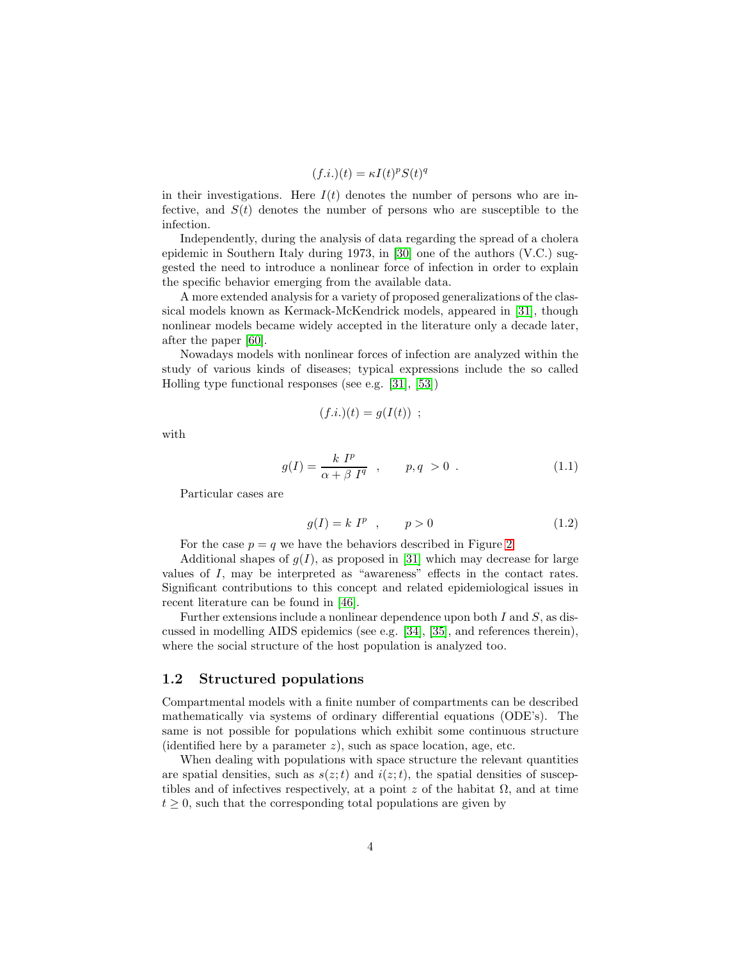$$
(f.i.)(t) = \kappa I(t)^p S(t)^q
$$

in their investigations. Here  $I(t)$  denotes the number of persons who are infective, and  $S(t)$  denotes the number of persons who are susceptible to the infection.

Independently, during the analysis of data regarding the spread of a cholera epidemic in Southern Italy during 1973, in [\[30\]](#page-22-0) one of the authors (V.C.) suggested the need to introduce a nonlinear force of infection in order to explain the specific behavior emerging from the available data.

A more extended analysis for a variety of proposed generalizations of the classical models known as Kermack-McKendrick models, appeared in [\[31\]](#page-22-1), though nonlinear models became widely accepted in the literature only a decade later, after the paper [\[60\]](#page-24-6).

Nowadays models with nonlinear forces of infection are analyzed within the study of various kinds of diseases; typical expressions include the so called Holling type functional responses (see e.g. [\[31\]](#page-22-1), [\[53\]](#page-24-7))

$$
(f.i.)(t) = g(I(t)) ;
$$

with

$$
g(I) = \frac{k \ I^p}{\alpha + \beta \ I^q} \quad , \qquad p, q > 0 \quad . \tag{1.1}
$$

Particular cases are

$$
g(I) = k Ip , \qquad p > 0
$$
 (1.2)

For the case  $p = q$  we have the behaviors described in Figure [2.](#page-4-0)

Additional shapes of  $q(I)$ , as proposed in [\[31\]](#page-22-1) which may decrease for large values of I, may be interpreted as "awareness" effects in the contact rates. Significant contributions to this concept and related epidemiological issues in recent literature can be found in [\[46\]](#page-23-2).

Further extensions include a nonlinear dependence upon both  $I$  and  $S$ , as discussed in modelling AIDS epidemics (see e.g. [\[34\]](#page-23-3), [\[35\]](#page-23-4), and references therein), where the social structure of the host population is analyzed too.

#### <span id="page-3-0"></span>1.2 Structured populations

Compartmental models with a finite number of compartments can be described mathematically via systems of ordinary differential equations (ODE's). The same is not possible for populations which exhibit some continuous structure (identified here by a parameter  $z$ ), such as space location, age, etc.

When dealing with populations with space structure the relevant quantities are spatial densities, such as  $s(z;t)$  and  $i(z;t)$ , the spatial densities of susceptibles and of infectives respectively, at a point z of the habitat  $\Omega$ , and at time  $t \geq 0$ , such that the corresponding total populations are given by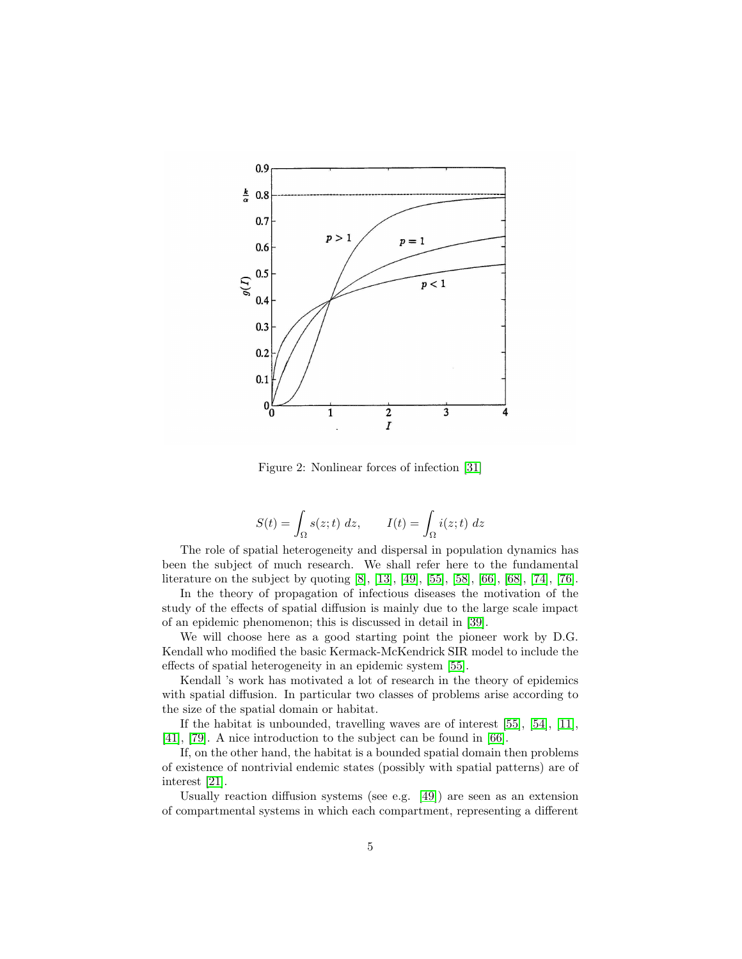

<span id="page-4-0"></span>Figure 2: Nonlinear forces of infection [\[31\]](#page-22-1)

$$
S(t) = \int_{\Omega} s(z; t) dz, \qquad I(t) = \int_{\Omega} i(z; t) dz
$$

The role of spatial heterogeneity and dispersal in population dynamics has been the subject of much research. We shall refer here to the fundamental literature on the subject by quoting [\[8\]](#page-21-4), [\[13\]](#page-21-5), [\[49\]](#page-24-8), [\[55\]](#page-24-9), [\[58\]](#page-24-10), [\[66\]](#page-25-6), [\[68\]](#page-25-7), [\[74\]](#page-25-8), [\[76\]](#page-25-9).

In the theory of propagation of infectious diseases the motivation of the study of the effects of spatial diffusion is mainly due to the large scale impact of an epidemic phenomenon; this is discussed in detail in [\[39\]](#page-23-5).

We will choose here as a good starting point the pioneer work by D.G. Kendall who modified the basic Kermack-McKendrick SIR model to include the effects of spatial heterogeneity in an epidemic system [\[55\]](#page-24-9).

Kendall 's work has motivated a lot of research in the theory of epidemics with spatial diffusion. In particular two classes of problems arise according to the size of the spatial domain or habitat.

If the habitat is unbounded, travelling waves are of interest [\[55\]](#page-24-9), [\[54\]](#page-24-11), [\[11\]](#page-21-6), [\[41\]](#page-23-6), [\[79\]](#page-26-2). A nice introduction to the subject can be found in [\[66\]](#page-25-6).

If, on the other hand, the habitat is a bounded spatial domain then problems of existence of nontrivial endemic states (possibly with spatial patterns) are of interest [\[21\]](#page-22-2).

Usually reaction diffusion systems (see e.g. [\[49\]](#page-24-8)) are seen as an extension of compartmental systems in which each compartment, representing a different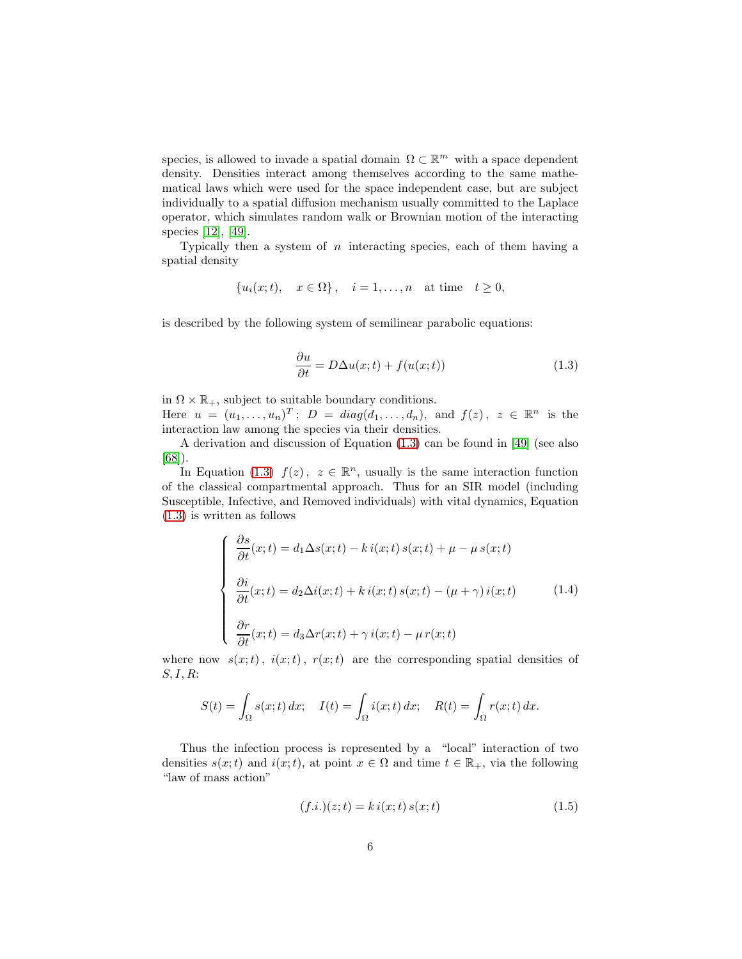species, is allowed to invade a spatial domain  $\Omega \subset \mathbb{R}^m$  with a space dependent density. Densities interact among themselves according to the same mathematical laws which were used for the space independent case, but are subject individually to a spatial diffusion mechanism usually committed to the Laplace operator, which simulates random walk or Brownian motion of the interacting species [\[12\]](#page-21-7), [\[49\]](#page-24-8).

Typically then a system of  $n$  interacting species, each of them having a spatial density

$$
\{u_i(x;t), \quad x \in \Omega\}, \quad i = 1, \ldots, n \quad \text{at time} \quad t \ge 0,
$$

is described by the following system of semilinear parabolic equations:

<span id="page-5-0"></span>
$$
\frac{\partial u}{\partial t} = D\Delta u(x;t) + f(u(x;t))\tag{1.3}
$$

in  $\Omega \times \mathbb{R}_+$ , subject to suitable boundary conditions.

Here  $u = (u_1, \ldots, u_n)^T$ ;  $D = diag(d_1, \ldots, d_n)$ , and  $f(z)$ ,  $z \in \mathbb{R}^n$  is the interaction law among the species via their densities.

A derivation and discussion of Equation [\(1.3\)](#page-5-0) can be found in [\[49\]](#page-24-8) (see also [\[68\]](#page-25-7)).

In Equation [\(1.3\)](#page-5-0)  $f(z)$ ,  $z \in \mathbb{R}^n$ , usually is the same interaction function of the classical compartmental approach. Thus for an SIR model (including Susceptible, Infective, and Removed individuals) with vital dynamics, Equation [\(1.3\)](#page-5-0) is written as follows

<span id="page-5-2"></span>
$$
\begin{cases}\n\frac{\partial s}{\partial t}(x;t) = d_1 \Delta s(x;t) - k i(x;t) s(x;t) + \mu - \mu s(x;t) \\
\frac{\partial i}{\partial t}(x;t) = d_2 \Delta i(x;t) + k i(x;t) s(x;t) - (\mu + \gamma) i(x;t) \\
\frac{\partial r}{\partial t}(x;t) = d_3 \Delta r(x;t) + \gamma i(x;t) - \mu r(x;t)\n\end{cases}
$$
\n(1.4)

where now  $s(x;t)$ ,  $i(x;t)$ ,  $r(x;t)$  are the corresponding spatial densities of  $S, I, R$ :

$$
S(t) = \int_{\Omega} s(x;t) dx; \quad I(t) = \int_{\Omega} i(x;t) dx; \quad R(t) = \int_{\Omega} r(x;t) dx.
$$

Thus the infection process is represented by a "local" interaction of two densities  $s(x;t)$  and  $i(x;t)$ , at point  $x \in \Omega$  and time  $t \in \mathbb{R}_+$ , via the following "law of mass action"

<span id="page-5-1"></span>
$$
(f.i.)(z;t) = k i(x;t) s(x;t)
$$
\n(1.5)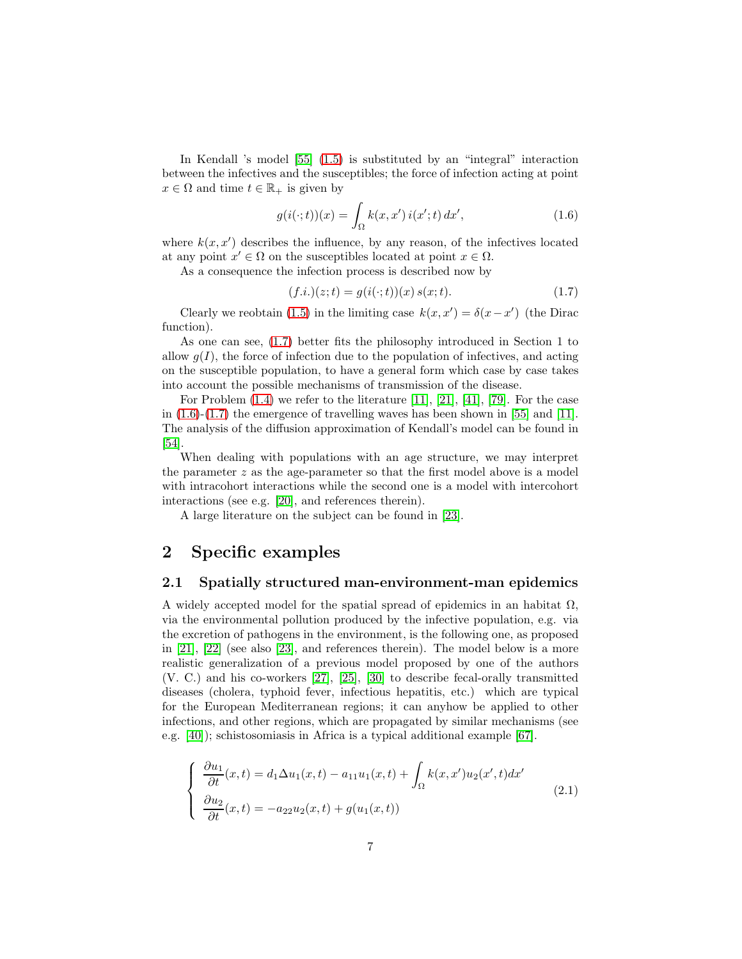In Kendall 's model [\[55\]](#page-24-9) [\(1.5\)](#page-5-1) is substituted by an "integral" interaction between the infectives and the susceptibles; the force of infection acting at point  $x \in \Omega$  and time  $t \in \mathbb{R}_+$  is given by

<span id="page-6-1"></span>
$$
g(i(\cdot;t))(x) = \int_{\Omega} k(x,x')\,i(x';t)\,dx',\tag{1.6}
$$

where  $k(x, x')$  describes the influence, by any reason, of the infectives located at any point  $x' \in \Omega$  on the susceptibles located at point  $x \in \Omega$ .

As a consequence the infection process is described now by

<span id="page-6-0"></span>
$$
(f.i.)(z;t) = g(i(\cdot;t))(x) s(x;t). \tag{1.7}
$$

Clearly we reobtain [\(1.5\)](#page-5-1) in the limiting case  $k(x, x') = \delta(x - x')$  (the Dirac function).

As one can see, [\(1.7\)](#page-6-0) better fits the philosophy introduced in Section 1 to allow  $q(I)$ , the force of infection due to the population of infectives, and acting on the susceptible population, to have a general form which case by case takes into account the possible mechanisms of transmission of the disease.

For Problem  $(1.4)$  we refer to the literature  $[11]$ ,  $[21]$ ,  $[41]$ ,  $[79]$ . For the case in  $(1.6)-(1.7)$  $(1.6)-(1.7)$  the emergence of travelling waves has been shown in [\[55\]](#page-24-9) and [\[11\]](#page-21-6). The analysis of the diffusion approximation of Kendall's model can be found in [\[54\]](#page-24-11).

When dealing with populations with an age structure, we may interpret the parameter  $z$  as the age-parameter so that the first model above is a model with intracohort interactions while the second one is a model with intercohort interactions (see e.g. [\[20\]](#page-21-8), and references therein).

A large literature on the subject can be found in [\[23\]](#page-22-3).

### 2 Specific examples

#### 2.1 Spatially structured man-environment-man epidemics

A widely accepted model for the spatial spread of epidemics in an habitat  $\Omega$ , via the environmental pollution produced by the infective population, e.g. via the excretion of pathogens in the environment, is the following one, as proposed in [\[21\]](#page-22-2), [\[22\]](#page-22-4) (see also [\[23\]](#page-22-3), and references therein). The model below is a more realistic generalization of a previous model proposed by one of the authors (V. C.) and his co-workers [\[27\]](#page-22-5), [\[25\]](#page-22-6), [\[30\]](#page-22-0) to describe fecal-orally transmitted diseases (cholera, typhoid fever, infectious hepatitis, etc.) which are typical for the European Mediterranean regions; it can anyhow be applied to other infections, and other regions, which are propagated by similar mechanisms (see e.g. [\[40\]](#page-23-7)); schistosomiasis in Africa is a typical additional example [\[67\]](#page-25-10).

<span id="page-6-2"></span>
$$
\begin{cases}\n\frac{\partial u_1}{\partial t}(x,t) = d_1 \Delta u_1(x,t) - a_{11} u_1(x,t) + \int_{\Omega} k(x,x') u_2(x',t) dx' \n\frac{\partial u_2}{\partial t}(x,t) = -a_{22} u_2(x,t) + g(u_1(x,t))\n\end{cases}
$$
\n(2.1)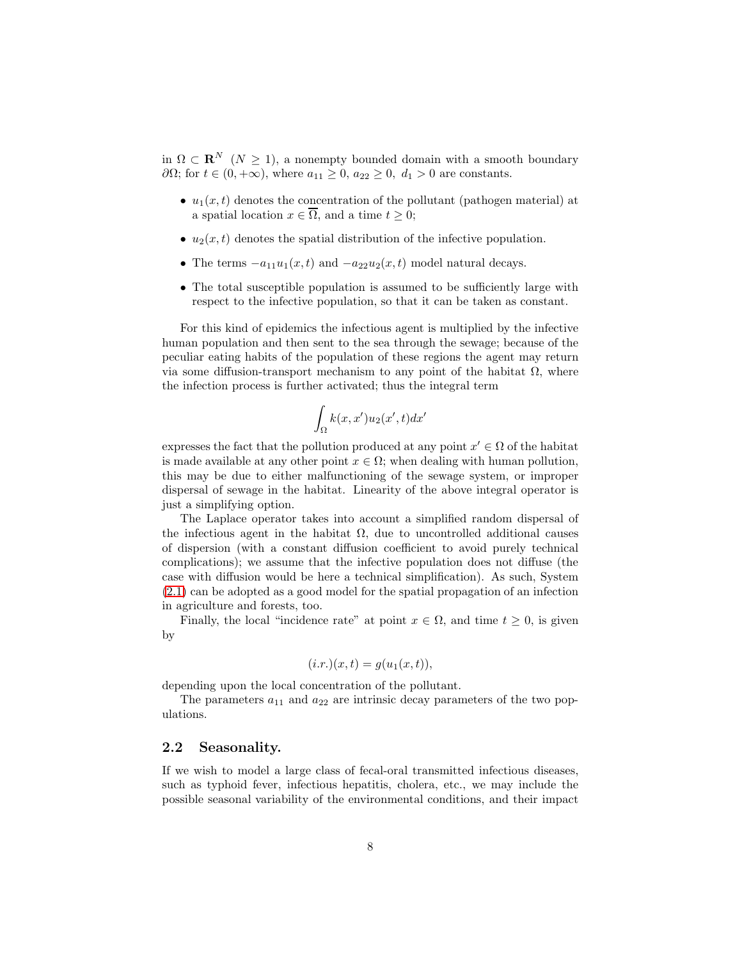in  $\Omega \subset \mathbf{R}^N$  ( $N \geq 1$ ), a nonempty bounded domain with a smooth boundary  $\partial\Omega$ ; for  $t \in (0, +\infty)$ , where  $a_{11} \geq 0$ ,  $a_{22} \geq 0$ ,  $d_1 > 0$  are constants.

- $u_1(x, t)$  denotes the concentration of the pollutant (pathogen material) at a spatial location  $x \in \overline{\Omega}$ , and a time  $t \geq 0$ ;
- $u_2(x, t)$  denotes the spatial distribution of the infective population.
- The terms  $-a_{11}u_1(x,t)$  and  $-a_{22}u_2(x,t)$  model natural decays.
- The total susceptible population is assumed to be sufficiently large with respect to the infective population, so that it can be taken as constant.

For this kind of epidemics the infectious agent is multiplied by the infective human population and then sent to the sea through the sewage; because of the peculiar eating habits of the population of these regions the agent may return via some diffusion-transport mechanism to any point of the habitat  $\Omega$ , where the infection process is further activated; thus the integral term

$$
\int_{\Omega} k(x, x') u_2(x', t) dx'
$$

expresses the fact that the pollution produced at any point  $x' \in \Omega$  of the habitat is made available at any other point  $x \in \Omega$ ; when dealing with human pollution, this may be due to either malfunctioning of the sewage system, or improper dispersal of sewage in the habitat. Linearity of the above integral operator is just a simplifying option.

The Laplace operator takes into account a simplified random dispersal of the infectious agent in the habitat  $\Omega$ , due to uncontrolled additional causes of dispersion (with a constant diffusion coefficient to avoid purely technical complications); we assume that the infective population does not diffuse (the case with diffusion would be here a technical simplification). As such, System [\(2.1\)](#page-6-2) can be adopted as a good model for the spatial propagation of an infection in agriculture and forests, too.

Finally, the local "incidence rate" at point  $x \in \Omega$ , and time  $t \geq 0$ , is given by

$$
(i.r.)(x,t) = g(u1(x,t)),
$$

depending upon the local concentration of the pollutant.

The parameters  $a_{11}$  and  $a_{22}$  are intrinsic decay parameters of the two populations.

### 2.2 Seasonality.

If we wish to model a large class of fecal-oral transmitted infectious diseases, such as typhoid fever, infectious hepatitis, cholera, etc., we may include the possible seasonal variability of the environmental conditions, and their impact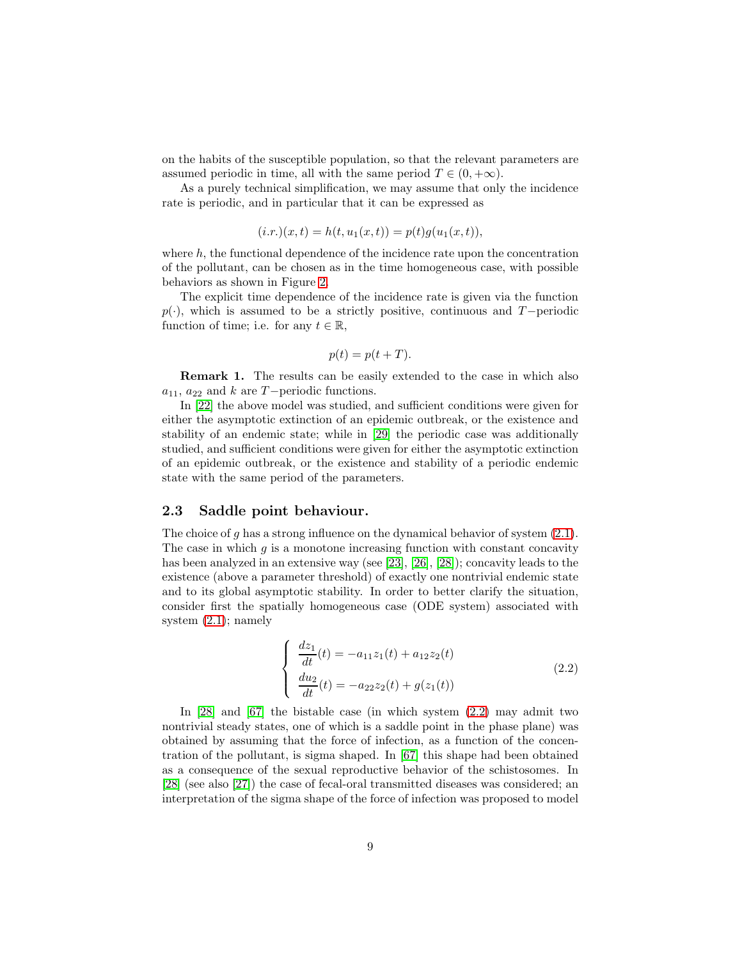on the habits of the susceptible population, so that the relevant parameters are assumed periodic in time, all with the same period  $T \in (0, +\infty)$ .

As a purely technical simplification, we may assume that only the incidence rate is periodic, and in particular that it can be expressed as

$$
(i.r.)(x,t) = h(t, u_1(x,t)) = p(t)g(u_1(x,t)),
$$

where  $h$ , the functional dependence of the incidence rate upon the concentration of the pollutant, can be chosen as in the time homogeneous case, with possible behaviors as shown in Figure [2.](#page-4-0)

The explicit time dependence of the incidence rate is given via the function  $p(\cdot)$ , which is assumed to be a strictly positive, continuous and T−periodic function of time; i.e. for any  $t \in \mathbb{R}$ ,

$$
p(t) = p(t + T).
$$

**Remark 1.** The results can be easily extended to the case in which also  $a_{11}$ ,  $a_{22}$  and k are T−periodic functions.

In [\[22\]](#page-22-4) the above model was studied, and sufficient conditions were given for either the asymptotic extinction of an epidemic outbreak, or the existence and stability of an endemic state; while in [\[29\]](#page-22-7) the periodic case was additionally studied, and sufficient conditions were given for either the asymptotic extinction of an epidemic outbreak, or the existence and stability of a periodic endemic state with the same period of the parameters.

#### 2.3 Saddle point behaviour.

The choice of q has a strong influence on the dynamical behavior of system  $(2.1)$ . The case in which  $g$  is a monotone increasing function with constant concavity has been analyzed in an extensive way (see [\[23\]](#page-22-3), [\[26\]](#page-22-8), [\[28\]](#page-22-9)); concavity leads to the existence (above a parameter threshold) of exactly one nontrivial endemic state and to its global asymptotic stability. In order to better clarify the situation, consider first the spatially homogeneous case (ODE system) associated with system [\(2.1\)](#page-6-2); namely

<span id="page-8-0"></span>
$$
\begin{cases}\n\frac{dz_1}{dt}(t) = -a_{11}z_1(t) + a_{12}z_2(t) \\
\frac{du_2}{dt}(t) = -a_{22}z_2(t) + g(z_1(t))\n\end{cases}
$$
\n(2.2)

In [\[28\]](#page-22-9) and [\[67\]](#page-25-10) the bistable case (in which system [\(2.2\)](#page-8-0) may admit two nontrivial steady states, one of which is a saddle point in the phase plane) was obtained by assuming that the force of infection, as a function of the concentration of the pollutant, is sigma shaped. In [\[67\]](#page-25-10) this shape had been obtained as a consequence of the sexual reproductive behavior of the schistosomes. In [\[28\]](#page-22-9) (see also [\[27\]](#page-22-5)) the case of fecal-oral transmitted diseases was considered; an interpretation of the sigma shape of the force of infection was proposed to model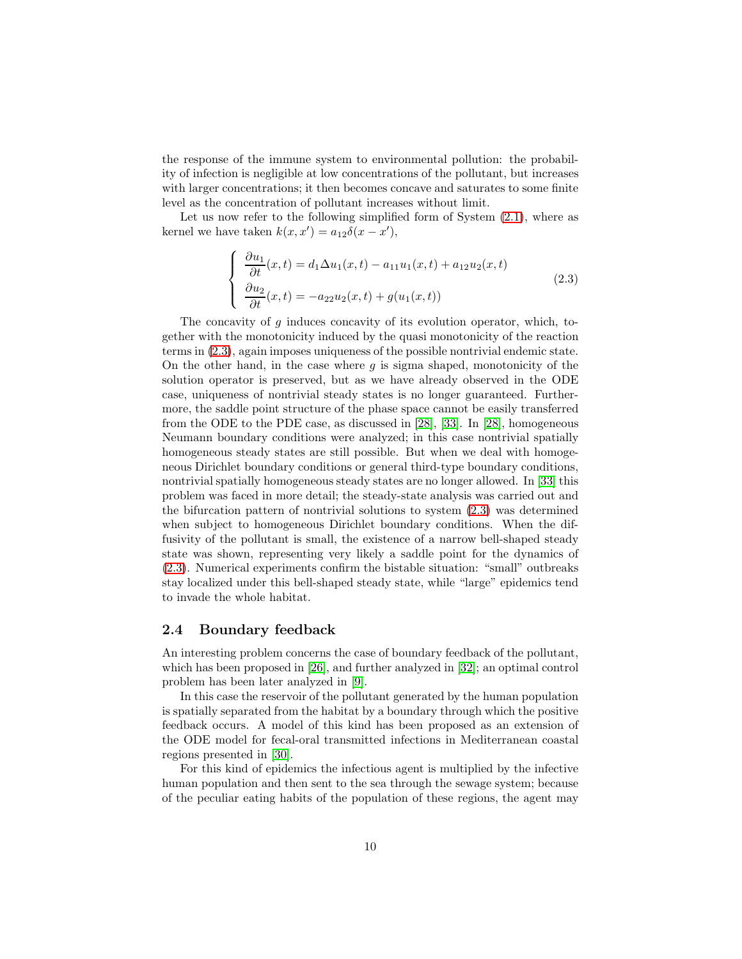the response of the immune system to environmental pollution: the probability of infection is negligible at low concentrations of the pollutant, but increases with larger concentrations; it then becomes concave and saturates to some finite level as the concentration of pollutant increases without limit.

Let us now refer to the following simplified form of System  $(2.1)$ , where as kernel we have taken  $k(x, x') = a_{12}\delta(x - x')$ ,

<span id="page-9-0"></span>
$$
\begin{cases}\n\frac{\partial u_1}{\partial t}(x,t) = d_1 \Delta u_1(x,t) - a_{11} u_1(x,t) + a_{12} u_2(x,t) \\
\frac{\partial u_2}{\partial t}(x,t) = -a_{22} u_2(x,t) + g(u_1(x,t))\n\end{cases}
$$
\n(2.3)

The concavity of  $g$  induces concavity of its evolution operator, which, together with the monotonicity induced by the quasi monotonicity of the reaction terms in [\(2.3\)](#page-9-0), again imposes uniqueness of the possible nontrivial endemic state. On the other hand, in the case where  $g$  is sigma shaped, monotonicity of the solution operator is preserved, but as we have already observed in the ODE case, uniqueness of nontrivial steady states is no longer guaranteed. Furthermore, the saddle point structure of the phase space cannot be easily transferred from the ODE to the PDE case, as discussed in [\[28\]](#page-22-9), [\[33\]](#page-22-10). In [\[28\]](#page-22-9), homogeneous Neumann boundary conditions were analyzed; in this case nontrivial spatially homogeneous steady states are still possible. But when we deal with homogeneous Dirichlet boundary conditions or general third-type boundary conditions, nontrivial spatially homogeneous steady states are no longer allowed. In [\[33\]](#page-22-10) this problem was faced in more detail; the steady-state analysis was carried out and the bifurcation pattern of nontrivial solutions to system [\(2.3\)](#page-9-0) was determined when subject to homogeneous Dirichlet boundary conditions. When the diffusivity of the pollutant is small, the existence of a narrow bell-shaped steady state was shown, representing very likely a saddle point for the dynamics of [\(2.3\)](#page-9-0). Numerical experiments confirm the bistable situation: "small" outbreaks stay localized under this bell-shaped steady state, while "large" epidemics tend to invade the whole habitat.

#### 2.4 Boundary feedback

An interesting problem concerns the case of boundary feedback of the pollutant, which has been proposed in [\[26\]](#page-22-8), and further analyzed in [\[32\]](#page-22-11); an optimal control problem has been later analyzed in [\[9\]](#page-21-9).

In this case the reservoir of the pollutant generated by the human population is spatially separated from the habitat by a boundary through which the positive feedback occurs. A model of this kind has been proposed as an extension of the ODE model for fecal-oral transmitted infections in Mediterranean coastal regions presented in [\[30\]](#page-22-0).

For this kind of epidemics the infectious agent is multiplied by the infective human population and then sent to the sea through the sewage system; because of the peculiar eating habits of the population of these regions, the agent may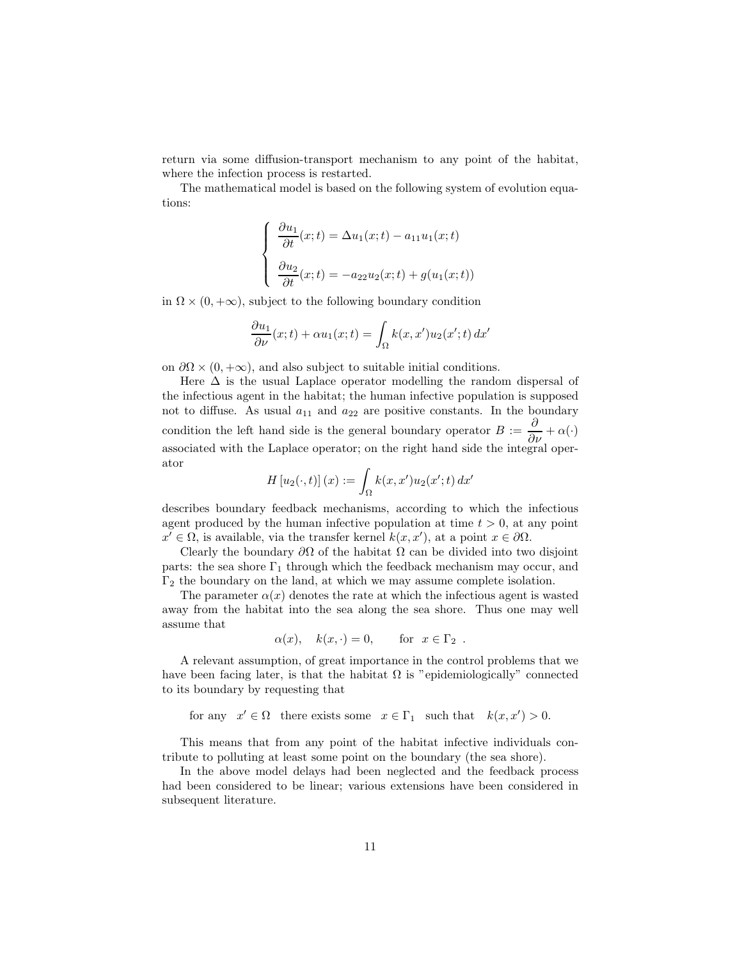return via some diffusion-transport mechanism to any point of the habitat, where the infection process is restarted.

The mathematical model is based on the following system of evolution equations:

$$
\begin{cases}\n\frac{\partial u_1}{\partial t}(x;t) = \Delta u_1(x;t) - a_{11}u_1(x;t) \\
\frac{\partial u_2}{\partial t}(x;t) = -a_{22}u_2(x;t) + g(u_1(x;t))\n\end{cases}
$$

in  $\Omega \times (0, +\infty)$ , subject to the following boundary condition

$$
\frac{\partial u_1}{\partial \nu}(x;t) + \alpha u_1(x;t) = \int_{\Omega} k(x,x')u_2(x';t) dx'
$$

on  $\partial\Omega \times (0, +\infty)$ , and also subject to suitable initial conditions.

Here  $\Delta$  is the usual Laplace operator modelling the random dispersal of the infectious agent in the habitat; the human infective population is supposed not to diffuse. As usual  $a_{11}$  and  $a_{22}$  are positive constants. In the boundary condition the left hand side is the general boundary operator  $B := \frac{\partial}{\partial \nu} + \alpha(\cdot)$ associated with the Laplace operator; on the right hand side the integral operator

$$
H[u_2(\cdot,t)](x) := \int_{\Omega} k(x,x')u_2(x';t) dx'
$$

describes boundary feedback mechanisms, according to which the infectious agent produced by the human infective population at time  $t > 0$ , at any point  $x' \in \Omega$ , is available, via the transfer kernel  $k(x, x')$ , at a point  $x \in \partial\Omega$ .

Clearly the boundary  $\partial\Omega$  of the habitat  $\Omega$  can be divided into two disjoint parts: the sea shore  $\Gamma_1$  through which the feedback mechanism may occur, and  $\Gamma_2$  the boundary on the land, at which we may assume complete isolation.

The parameter  $\alpha(x)$  denotes the rate at which the infectious agent is wasted away from the habitat into the sea along the sea shore. Thus one may well assume that

$$
\alpha(x), \quad k(x, \cdot) = 0, \quad \text{for } x \in \Gamma_2.
$$

A relevant assumption, of great importance in the control problems that we have been facing later, is that the habitat  $\Omega$  is "epidemiologically" connected to its boundary by requesting that

for any 
$$
x' \in \Omega
$$
 there exists some  $x \in \Gamma_1$  such that  $k(x, x') > 0$ .

This means that from any point of the habitat infective individuals contribute to polluting at least some point on the boundary (the sea shore).

In the above model delays had been neglected and the feedback process had been considered to be linear; various extensions have been considered in subsequent literature.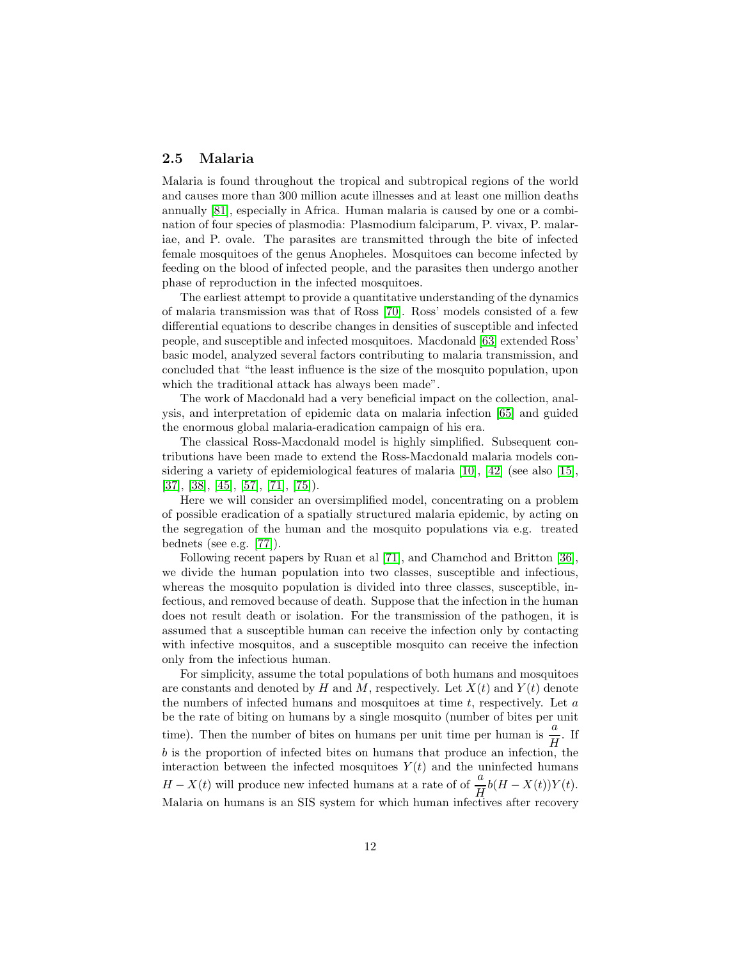#### 2.5 Malaria

Malaria is found throughout the tropical and subtropical regions of the world and causes more than 300 million acute illnesses and at least one million deaths annually [\[81\]](#page-26-3), especially in Africa. Human malaria is caused by one or a combination of four species of plasmodia: Plasmodium falciparum, P. vivax, P. malariae, and P. ovale. The parasites are transmitted through the bite of infected female mosquitoes of the genus Anopheles. Mosquitoes can become infected by feeding on the blood of infected people, and the parasites then undergo another phase of reproduction in the infected mosquitoes.

The earliest attempt to provide a quantitative understanding of the dynamics of malaria transmission was that of Ross [\[70\]](#page-25-0). Ross' models consisted of a few differential equations to describe changes in densities of susceptible and infected people, and susceptible and infected mosquitoes. Macdonald [\[63\]](#page-25-11) extended Ross' basic model, analyzed several factors contributing to malaria transmission, and concluded that "the least influence is the size of the mosquito population, upon which the traditional attack has always been made".

The work of Macdonald had a very beneficial impact on the collection, analysis, and interpretation of epidemic data on malaria infection [\[65\]](#page-25-12) and guided the enormous global malaria-eradication campaign of his era.

The classical Ross-Macdonald model is highly simplified. Subsequent contributions have been made to extend the Ross-Macdonald malaria models considering a variety of epidemiological features of malaria [\[10\]](#page-21-10), [\[42\]](#page-23-8) (see also [\[15\]](#page-21-11), [\[37\]](#page-23-9), [\[38\]](#page-23-10), [\[45\]](#page-23-11), [\[57\]](#page-24-12), [\[71\]](#page-25-13), [\[75\]](#page-25-14)).

Here we will consider an oversimplified model, concentrating on a problem of possible eradication of a spatially structured malaria epidemic, by acting on the segregation of the human and the mosquito populations via e.g. treated bednets (see e.g. [\[77\]](#page-25-15)).

Following recent papers by Ruan et al [\[71\]](#page-25-13), and Chamchod and Britton [\[36\]](#page-23-12), we divide the human population into two classes, susceptible and infectious, whereas the mosquito population is divided into three classes, susceptible, infectious, and removed because of death. Suppose that the infection in the human does not result death or isolation. For the transmission of the pathogen, it is assumed that a susceptible human can receive the infection only by contacting with infective mosquitos, and a susceptible mosquito can receive the infection only from the infectious human.

For simplicity, assume the total populations of both humans and mosquitoes are constants and denoted by H and M, respectively. Let  $X(t)$  and  $Y(t)$  denote the numbers of infected humans and mosquitoes at time  $t$ , respectively. Let  $a$ be the rate of biting on humans by a single mosquito (number of bites per unit time). Then the number of bites on humans per unit time per human is  $\frac{a}{H}$ . If b is the proportion of infected bites on humans that produce an infection, the interaction between the infected mosquitoes  $Y(t)$  and the uninfected humans  $H - X(t)$  will produce new infected humans at a rate of of  $\frac{a}{H}b(H - X(t))Y(t)$ . Malaria on humans is an SIS system for which human infectives after recovery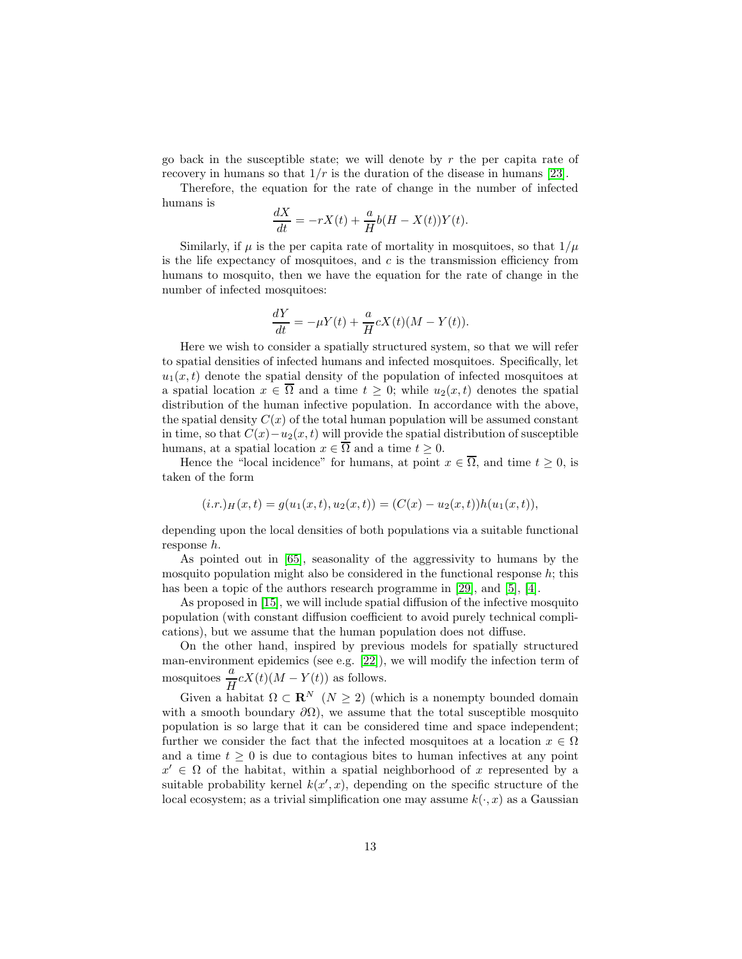go back in the susceptible state; we will denote by  $r$  the per capita rate of recovery in humans so that  $1/r$  is the duration of the disease in humans [\[23\]](#page-22-3).

Therefore, the equation for the rate of change in the number of infected humans is

$$
\frac{dX}{dt} = -rX(t) + \frac{a}{H}b(H - X(t))Y(t).
$$

Similarly, if  $\mu$  is the per capita rate of mortality in mosquitoes, so that  $1/\mu$ is the life expectancy of mosquitoes, and  $c$  is the transmission efficiency from humans to mosquito, then we have the equation for the rate of change in the number of infected mosquitoes:

$$
\frac{dY}{dt} = -\mu Y(t) + \frac{a}{H}cX(t)(M - Y(t)).
$$

Here we wish to consider a spatially structured system, so that we will refer to spatial densities of infected humans and infected mosquitoes. Specifically, let  $u_1(x, t)$  denote the spatial density of the population of infected mosquitoes at a spatial location  $x \in \overline{\Omega}$  and a time  $t \geq 0$ ; while  $u_2(x, t)$  denotes the spatial distribution of the human infective population. In accordance with the above, the spatial density  $C(x)$  of the total human population will be assumed constant in time, so that  $C(x)-u_2(x,t)$  will provide the spatial distribution of susceptible humans, at a spatial location  $x \in \overline{\Omega}$  and a time  $t \geq 0$ .

Hence the "local incidence" for humans, at point  $x \in \overline{\Omega}$ , and time  $t \geq 0$ , is taken of the form

$$
(i.r.)H(x,t) = g(u1(x,t), u2(x,t)) = (C(x) - u2(x,t))h(u1(x,t)),
$$

depending upon the local densities of both populations via a suitable functional response h.

As pointed out in [\[65\]](#page-25-12), seasonality of the aggressivity to humans by the mosquito population might also be considered in the functional response  $h$ ; this has been a topic of the authors research programme in [\[29\]](#page-22-7), and [\[5\]](#page-20-1), [\[4\]](#page-20-2).

As proposed in [\[15\]](#page-21-11), we will include spatial diffusion of the infective mosquito population (with constant diffusion coefficient to avoid purely technical complications), but we assume that the human population does not diffuse.

On the other hand, inspired by previous models for spatially structured man-environment epidemics (see e.g. [\[22\]](#page-22-4)), we will modify the infection term of mosquitoes  $\frac{a}{\tau}$  $\frac{d}{dt}cX(t)(M-Y(t))$  as follows.

Given a habitat  $\Omega \subset \mathbf{R}^N$   $(N \geq 2)$  (which is a nonempty bounded domain with a smooth boundary  $\partial\Omega$ ), we assume that the total susceptible mosquito population is so large that it can be considered time and space independent; further we consider the fact that the infected mosquitoes at a location  $x \in \Omega$ and a time  $t \geq 0$  is due to contagious bites to human infectives at any point  $x' \in \Omega$  of the habitat, within a spatial neighborhood of x represented by a suitable probability kernel  $k(x', x)$ , depending on the specific structure of the local ecosystem; as a trivial simplification one may assume  $k(\cdot, x)$  as a Gaussian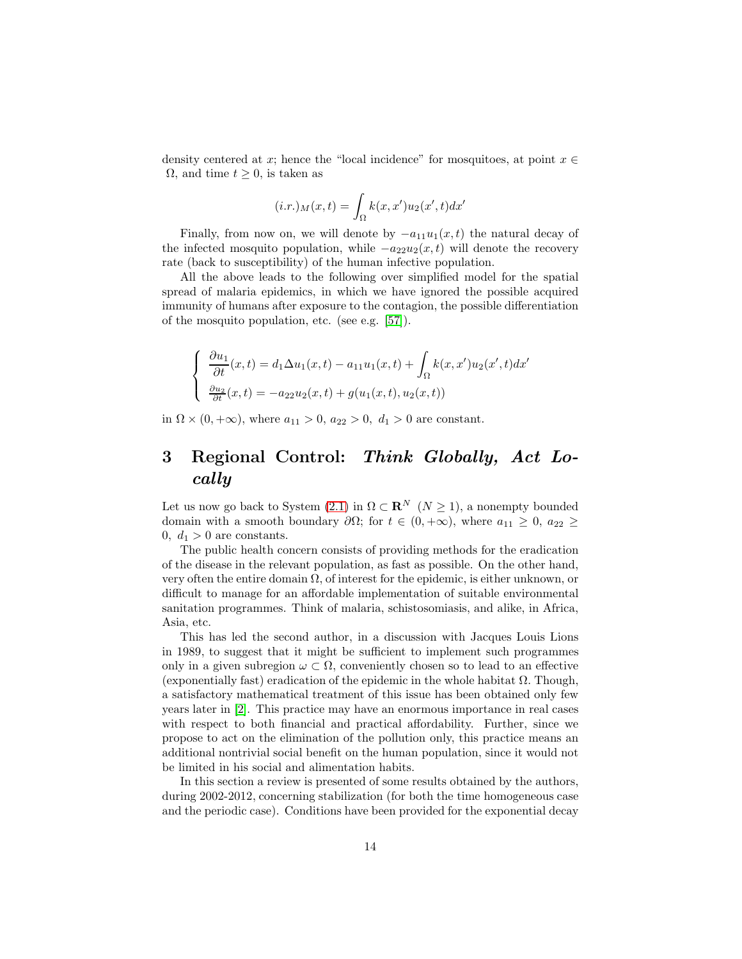density centered at x; hence the "local incidence" for mosquitoes, at point  $x \in$  $\Omega$ , and time  $t \geq 0$ , is taken as

$$
(i.r.)M(x,t) = \int_{\Omega} k(x, x')u_2(x', t)dx'
$$

Finally, from now on, we will denote by  $-a_{11}u_1(x, t)$  the natural decay of the infected mosquito population, while  $-a_{22}u_2(x,t)$  will denote the recovery rate (back to susceptibility) of the human infective population.

All the above leads to the following over simplified model for the spatial spread of malaria epidemics, in which we have ignored the possible acquired immunity of humans after exposure to the contagion, the possible differentiation of the mosquito population, etc. (see e.g. [\[57\]](#page-24-12)).

$$
\begin{cases}\n\frac{\partial u_1}{\partial t}(x,t) = d_1 \Delta u_1(x,t) - a_{11} u_1(x,t) + \int_{\Omega} k(x,x') u_2(x',t) dx' \\
\frac{\partial u_2}{\partial t}(x,t) = -a_{22} u_2(x,t) + g(u_1(x,t), u_2(x,t))\n\end{cases}
$$

in  $\Omega \times (0, +\infty)$ , where  $a_{11} > 0$ ,  $a_{22} > 0$ ,  $d_1 > 0$  are constant.

# 3 Regional Control: Think Globally, Act Locally

Let us now go back to System [\(2.1\)](#page-6-2) in  $\Omega \subset \mathbb{R}^N$  ( $N \geq 1$ ), a nonempty bounded domain with a smooth boundary  $\partial\Omega$ ; for  $t \in (0, +\infty)$ , where  $a_{11} \geq 0$ ,  $a_{22} \geq$ 0,  $d_1 > 0$  are constants.

The public health concern consists of providing methods for the eradication of the disease in the relevant population, as fast as possible. On the other hand, very often the entire domain  $\Omega$ , of interest for the epidemic, is either unknown, or difficult to manage for an affordable implementation of suitable environmental sanitation programmes. Think of malaria, schistosomiasis, and alike, in Africa, Asia, etc.

This has led the second author, in a discussion with Jacques Louis Lions in 1989, to suggest that it might be sufficient to implement such programmes only in a given subregion  $\omega \subset \Omega$ , conveniently chosen so to lead to an effective (exponentially fast) eradication of the epidemic in the whole habitat  $\Omega$ . Though, a satisfactory mathematical treatment of this issue has been obtained only few years later in [\[2\]](#page-20-3). This practice may have an enormous importance in real cases with respect to both financial and practical affordability. Further, since we propose to act on the elimination of the pollution only, this practice means an additional nontrivial social benefit on the human population, since it would not be limited in his social and alimentation habits.

In this section a review is presented of some results obtained by the authors, during 2002-2012, concerning stabilization (for both the time homogeneous case and the periodic case). Conditions have been provided for the exponential decay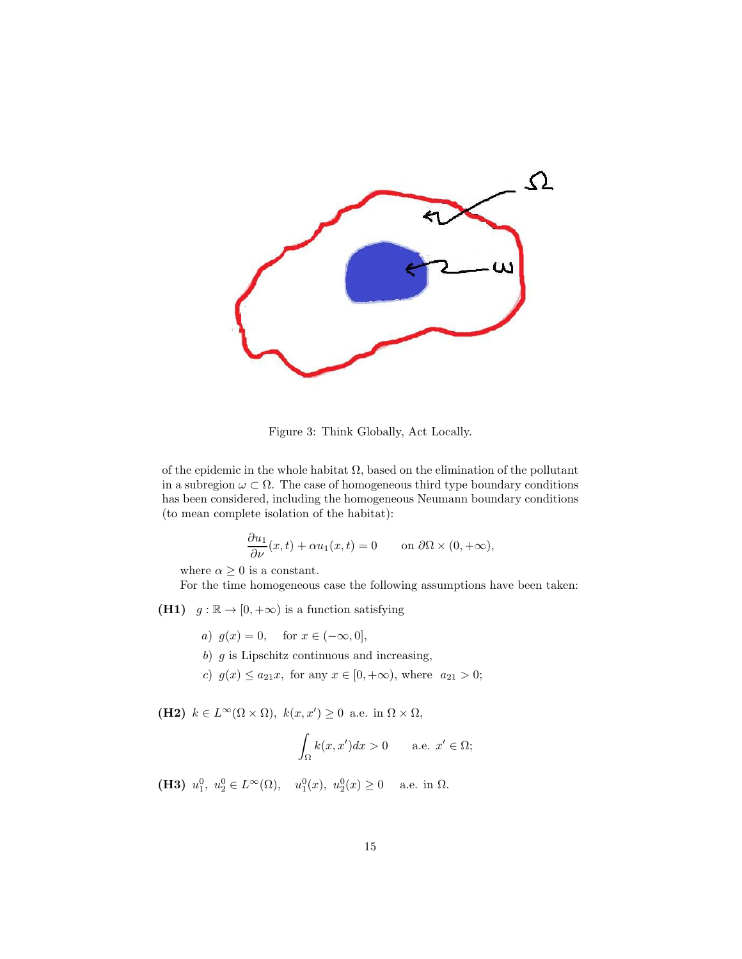

Figure 3: Think Globally, Act Locally.

of the epidemic in the whole habitat  $\Omega$ , based on the elimination of the pollutant in a subregion  $\omega \subset \Omega$ . The case of homogeneous third type boundary conditions has been considered, including the homogeneous Neumann boundary conditions (to mean complete isolation of the habitat):

$$
\frac{\partial u_1}{\partial \nu}(x,t) + \alpha u_1(x,t) = 0 \quad \text{on } \partial\Omega \times (0,+\infty),
$$

where  $\alpha \geq 0$  is a constant.

For the time homogeneous case the following assumptions have been taken:

- (H1)  $g : \mathbb{R} \to [0, +\infty)$  is a function satisfying
	- a)  $g(x) = 0$ , for  $x \in (-\infty, 0]$ ,
	- b)  $g$  is Lipschitz continuous and increasing,
	- c)  $g(x) \le a_{21}x$ , for any  $x \in [0, +\infty)$ , where  $a_{21} > 0$ ;

(H2)  $k \in L^{\infty}(\Omega \times \Omega)$ ,  $k(x, x') \geq 0$  a.e. in  $\Omega \times \Omega$ ,

$$
\int_{\Omega} k(x, x')dx > 0 \quad \text{a.e. } x' \in \Omega;
$$

(**H3**)  $u_1^0, u_2^0 \in L^{\infty}(\Omega)$ ,  $u_1^0(x), u_2^0(x) \ge 0$  a.e. in  $\Omega$ .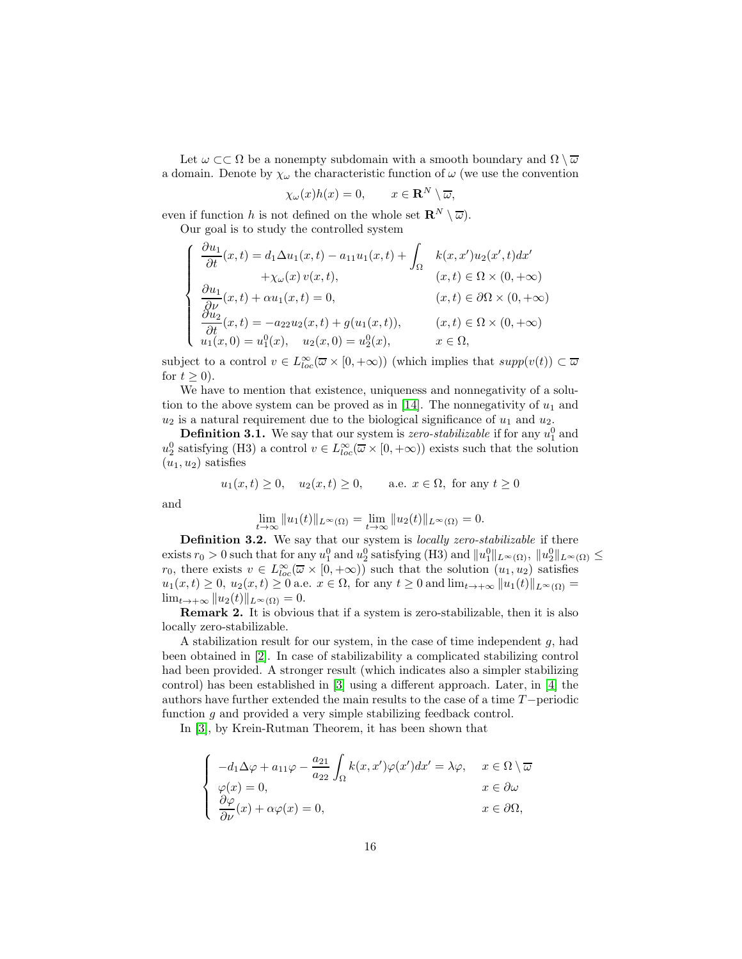Let  $\omega \subset \Omega$  be a nonempty subdomain with a smooth boundary and  $\Omega \setminus \overline{\omega}$ a domain. Denote by  $\chi_{\omega}$  the characteristic function of  $\omega$  (we use the convention

$$
\chi_{\omega}(x)h(x) = 0, \qquad x \in \mathbf{R}^N \setminus \overline{\omega},
$$

even if function h is not defined on the whole set  $\mathbb{R}^N \setminus \overline{\omega}$ .

Our goal is to study the controlled system

$$
\begin{cases}\n\frac{\partial u_1}{\partial t}(x,t) = d_1 \Delta u_1(x,t) - a_{11} u_1(x,t) + \int_{\Omega} k(x,x') u_2(x',t) dx' \\
+ \chi_{\omega}(x) v(x,t), & (x,t) \in \Omega \times (0, +\infty) \\
\frac{\partial u_1}{\partial \nu}(x,t) + \alpha u_1(x,t) = 0, & (x,t) \in \partial \Omega \times (0, +\infty) \\
\frac{\partial u_2}{\partial t}(x,t) = -a_{22} u_2(x,t) + g(u_1(x,t)), & (x,t) \in \Omega \times (0, +\infty) \\
u_1(x,0) = u_1^0(x), \quad u_2(x,0) = u_2^0(x), & x \in \Omega,\n\end{cases}
$$

subject to a control  $v \in L^{\infty}_{loc}(\overline{\omega} \times [0, +\infty))$  (which implies that  $supp(v(t)) \subset \overline{\omega}$ for  $t \geq 0$ ).

We have to mention that existence, uniqueness and nonnegativity of a solu-tion to the above system can be proved as in [\[14\]](#page-21-12). The nonnegativity of  $u_1$  and  $u_2$  is a natural requirement due to the biological significance of  $u_1$  and  $u_2$ .

**Definition 3.1.** We say that our system is *zero-stabilizable* if for any  $u_1^0$  and  $u_2^0$  satisfying (H3) a control  $v \in L^{\infty}_{loc}(\overline{\omega} \times [0, +\infty))$  exists such that the solution  $(u_1, u_2)$  satisfies

$$
u_1(x,t) \ge 0
$$
,  $u_2(x,t) \ge 0$ , a.e.  $x \in \Omega$ , for any  $t \ge 0$ 

and

$$
\lim_{t \to \infty} ||u_1(t)||_{L^{\infty}(\Omega)} = \lim_{t \to \infty} ||u_2(t)||_{L^{\infty}(\Omega)} = 0.
$$

**Definition 3.2.** We say that our system is locally zero-stabilizable if there exists  $r_0 > 0$  such that for any  $u_1^0$  and  $u_2^0$  satisfying (H3) and  $||u_1^0||_{L^\infty(\Omega)}$ ,  $||u_2^0||_{L^\infty(\Omega)} \le$  $r_0$ , there exists  $v \in L^{\infty}_{loc}(\overline{\omega} \times [0, +\infty))$  such that the solution  $(u_1, u_2)$  satisfies  $u_1(x,t) \geq 0$ ,  $u_2(x,t) \geq 0$  a.e.  $x \in \Omega$ , for any  $t \geq 0$  and  $\lim_{t \to +\infty} ||u_1(t)||_{L^{\infty}(\Omega)} =$  $\lim_{t\to+\infty}||u_2(t)||_{L^{\infty}(\Omega)}=0.$ 

Remark 2. It is obvious that if a system is zero-stabilizable, then it is also locally zero-stabilizable.

A stabilization result for our system, in the case of time independent  $g$ , had been obtained in [\[2\]](#page-20-3). In case of stabilizability a complicated stabilizing control had been provided. A stronger result (which indicates also a simpler stabilizing control) has been established in [\[3\]](#page-20-4) using a different approach. Later, in [\[4\]](#page-20-2) the authors have further extended the main results to the case of a time T−periodic function  $g$  and provided a very simple stabilizing feedback control.

In [\[3\]](#page-20-4), by Krein-Rutman Theorem, it has been shown that

$$
\begin{cases}\n-d_1 \Delta \varphi + a_{11} \varphi - \frac{a_{21}}{a_{22}} \int_{\Omega} k(x, x') \varphi(x') dx' = \lambda \varphi, & x \in \Omega \setminus \overline{\omega} \\
\varphi(x) = 0, & x \in \partial \omega \\
\frac{\partial \varphi}{\partial \nu}(x) + \alpha \varphi(x) = 0, & x \in \partial \Omega,\n\end{cases}
$$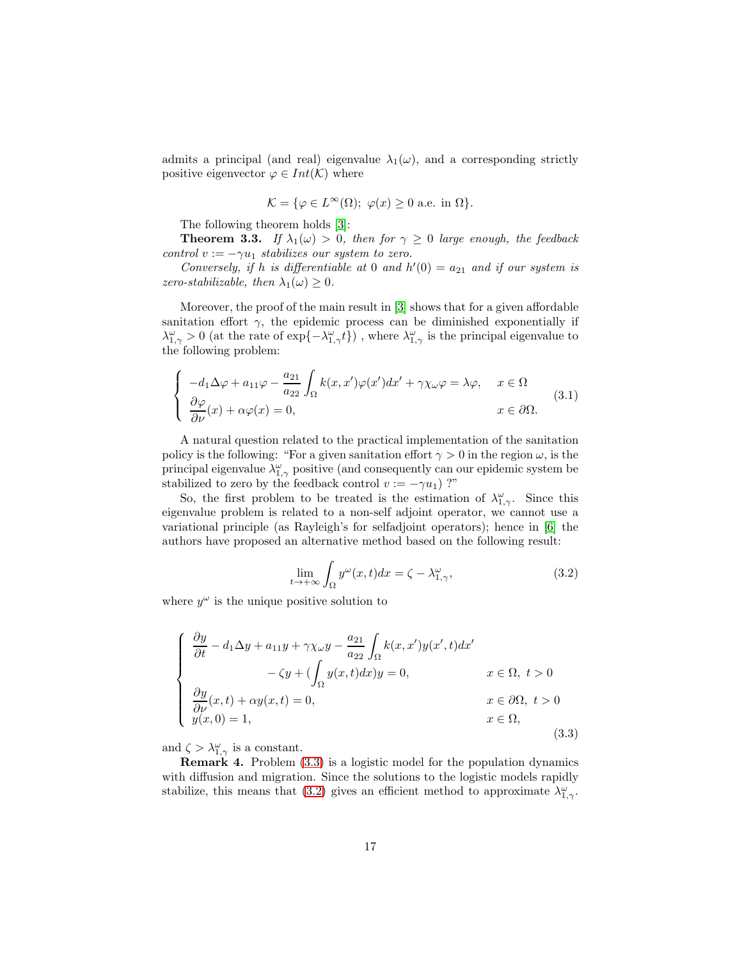admits a principal (and real) eigenvalue  $\lambda_1(\omega)$ , and a corresponding strictly positive eigenvector  $\varphi \in Int(\mathcal{K})$  where

$$
\mathcal{K} = \{ \varphi \in L^{\infty}(\Omega); \ \varphi(x) \ge 0 \text{ a.e. in } \Omega \}.
$$

The following theorem holds [\[3\]](#page-20-4):

**Theorem 3.3.** If  $\lambda_1(\omega) > 0$ , then for  $\gamma \geq 0$  large enough, the feedback control  $v := -\gamma u_1$  stabilizes our system to zero.

Conversely, if h is differentiable at 0 and  $h'(0) = a_{21}$  and if our system is zero-stabilizable, then  $\lambda_1(\omega) \geq 0$ .

Moreover, the proof of the main result in [\[3\]](#page-20-4) shows that for a given affordable sanitation effort  $\gamma$ , the epidemic process can be diminished exponentially if  $\lambda_{1,\gamma}^{\omega} > 0$  (at the rate of exp $\{-\lambda_{1,\gamma}^{\omega}t\}$ ), where  $\lambda_{1,\gamma}^{\omega}$  is the principal eigenvalue to the following problem:

<span id="page-16-2"></span>
$$
\begin{cases}\n-d_1 \Delta \varphi + a_{11} \varphi - \frac{a_{21}}{a_{22}} \int_{\Omega} k(x, x') \varphi(x') dx' + \gamma \chi_{\omega} \varphi = \lambda \varphi, & x \in \Omega \\
\frac{\partial \varphi}{\partial \nu}(x) + \alpha \varphi(x) = 0, & x \in \partial \Omega.\n\end{cases}
$$
\n(3.1)

A natural question related to the practical implementation of the sanitation policy is the following: "For a given sanitation effort  $\gamma > 0$  in the region  $\omega$ , is the principal eigenvalue  $\lambda_{1,\gamma}^{\omega}$  positive (and consequently can our epidemic system be stabilized to zero by the feedback control  $v := -\gamma u_1$ ) ?"

So, the first problem to be treated is the estimation of  $\lambda_{1,\gamma}^{\omega}$ . Since this eigenvalue problem is related to a non-self adjoint operator, we cannot use a variational principle (as Rayleigh's for selfadjoint operators); hence in [\[6\]](#page-20-5) the authors have proposed an alternative method based on the following result:

<span id="page-16-1"></span>
$$
\lim_{t \to +\infty} \int_{\Omega} y^{\omega}(x, t) dx = \zeta - \lambda^{\omega}_{1, \gamma}, \tag{3.2}
$$

where  $y^{\omega}$  is the unique positive solution to

<span id="page-16-0"></span>
$$
\begin{cases}\n\frac{\partial y}{\partial t} - d_1 \Delta y + a_{11}y + \gamma \chi_{\omega} y - \frac{a_{21}}{a_{22}} \int_{\Omega} k(x, x')y(x', t) dx' \\
-\zeta y + (\int_{\Omega} y(x, t) dx) y = 0, & x \in \Omega, \ t > 0 \\
\frac{\partial y}{\partial \nu}(x, t) + \alpha y(x, t) = 0, & x \in \partial\Omega, \ t > 0 \\
y(x, 0) = 1,\n\end{cases}
$$
\n(3.3)

and  $\zeta > \lambda_{1,\gamma}^{\omega}$  is a constant.

Remark 4. Problem [\(3.3\)](#page-16-0) is a logistic model for the population dynamics with diffusion and migration. Since the solutions to the logistic models rapidly stabilize, this means that [\(3.2\)](#page-16-1) gives an efficient method to approximate  $\lambda_{1,\gamma}^{\omega}$ .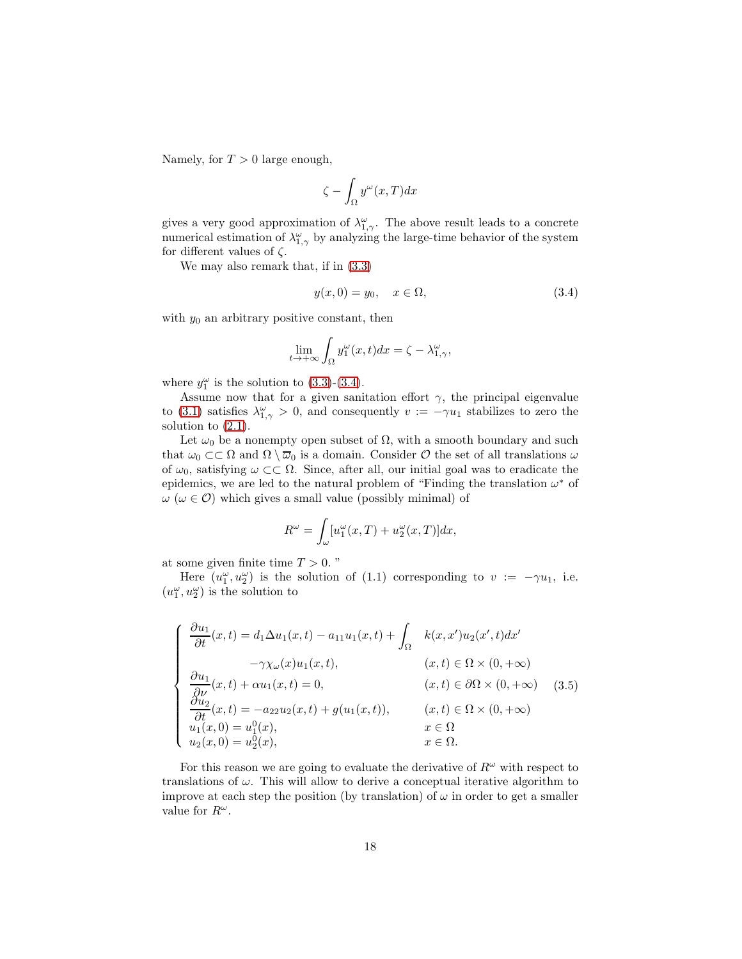Namely, for  $T > 0$  large enough,

$$
\zeta - \int_{\Omega} y^{\omega}(x, T) dx
$$

gives a very good approximation of  $\lambda_{1,\gamma}^{\omega}$ . The above result leads to a concrete numerical estimation of  $\lambda_{1,\gamma}^{\omega}$  by analyzing the large-time behavior of the system for different values of  $\zeta$ .

We may also remark that, if in [\(3.3\)](#page-16-0)

<span id="page-17-0"></span>
$$
y(x,0) = y_0, \quad x \in \Omega,
$$
\n
$$
(3.4)
$$

with  $y_0$  an arbitrary positive constant, then

$$
\lim_{t \to +\infty} \int_{\Omega} y_1^{\omega}(x, t) dx = \zeta - \lambda_{1, \gamma}^{\omega},
$$

where  $y_1^{\omega}$  is the solution to [\(3.3\)](#page-16-0)-[\(3.4\)](#page-17-0).

Assume now that for a given sanitation effort  $\gamma$ , the principal eigenvalue to [\(3.1\)](#page-16-2) satisfies  $\lambda_{1,\gamma}^{\omega} > 0$ , and consequently  $v := -\gamma u_1$  stabilizes to zero the solution to  $(2.1)$ .

Let  $\omega_0$  be a nonempty open subset of  $\Omega$ , with a smooth boundary and such that  $\omega_0 \subset \subset \Omega$  and  $\Omega \setminus \overline{\omega}_0$  is a domain. Consider  $\mathcal O$  the set of all translations  $\omega$ of  $\omega_0$ , satisfying  $\omega \subset\subset \Omega$ . Since, after all, our initial goal was to eradicate the epidemics, we are led to the natural problem of "Finding the translation  $\omega^*$  of  $\omega$  ( $\omega \in \mathcal{O}$ ) which gives a small value (possibly minimal) of

$$
R^{\omega} = \int_{\omega} [u_1^{\omega}(x,T) + u_2^{\omega}(x,T)]dx,
$$

at some given finite time  $T > 0$ ."

Here  $(u_1^{\omega}, u_2^{\omega})$  is the solution of (1.1) corresponding to  $v := -\gamma u_1$ , i.e.  $(u_1^\omega,u_2^\omega)$  is the solution to

$$
\begin{cases}\n\frac{\partial u_1}{\partial t}(x,t) = d_1 \Delta u_1(x,t) - a_{11} u_1(x,t) + \int_{\Omega} k(x,x') u_2(x',t) dx' \\
-\gamma \chi_{\omega}(x) u_1(x,t), & (x,t) \in \Omega \times (0, +\infty) \\
\frac{\partial u_1}{\partial \nu}(x,t) + \alpha u_1(x,t) = 0, & (x,t) \in \partial\Omega \times (0, +\infty) \\
\frac{\partial u_2}{\partial t}(x,t) = -a_{22} u_2(x,t) + g(u_1(x,t)), & (x,t) \in \Omega \times (0, +\infty) \\
u_1(x,0) = u_1^0(x), & x \in \Omega \\
u_2(x,0) = u_2^0(x), & x \in \Omega.\n\end{cases}
$$

For this reason we are going to evaluate the derivative of  $R^{\omega}$  with respect to translations of  $\omega$ . This will allow to derive a conceptual iterative algorithm to improve at each step the position (by translation) of  $\omega$  in order to get a smaller value for  $R^{\omega}$ .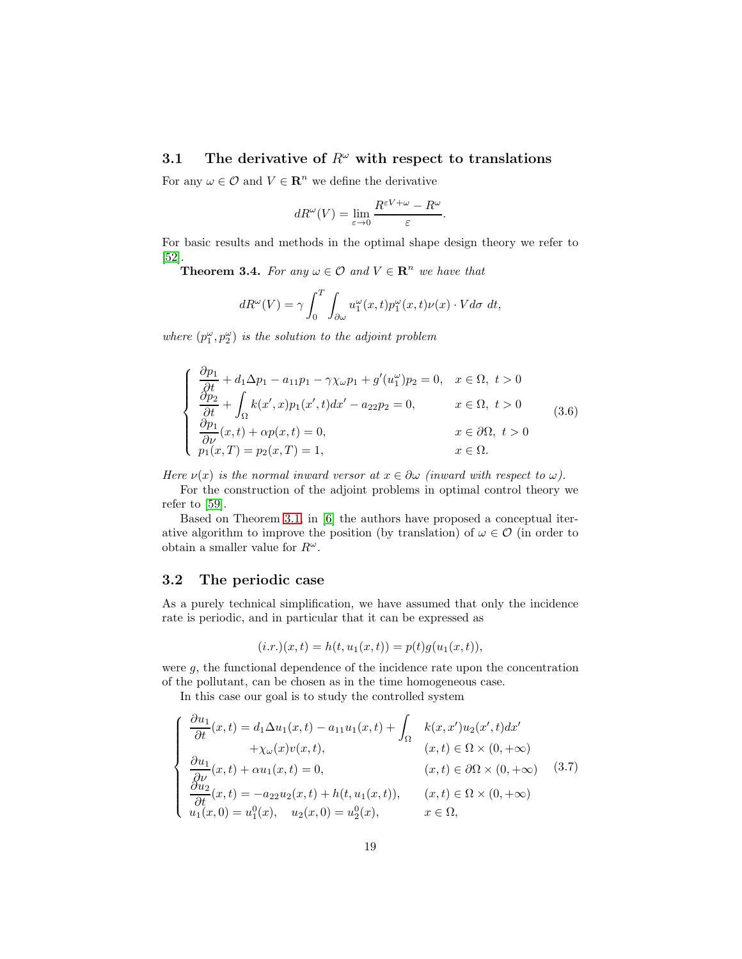## <span id="page-18-0"></span>3.1 The derivative of  $R^{\omega}$  with respect to translations

For any  $\omega \in \mathcal{O}$  and  $V \in \mathbb{R}^n$  we define the derivative

$$
dR^{\omega}(V) = \lim_{\varepsilon \to 0} \frac{R^{\varepsilon V + \omega} - R^{\omega}}{\varepsilon}.
$$

For basic results and methods in the optimal shape design theory we refer to [\[52\]](#page-24-13).

**Theorem 3.4.** For any  $\omega \in \mathcal{O}$  and  $V \in \mathbb{R}^n$  we have that

$$
dR^{\omega}(V) = \gamma \int_0^T \int_{\partial \omega} u_1^{\omega}(x, t) p_1^{\omega}(x, t) \nu(x) \cdot V d\sigma dt,
$$

where  $(p_1^{\omega}, p_2^{\omega})$  is the solution to the adjoint problem

$$
\begin{cases}\n\frac{\partial p_1}{\partial t} + d_1 \Delta p_1 - a_{11} p_1 - \gamma \chi_{\omega} p_1 + g'(u_1^{\omega}) p_2 = 0, & x \in \Omega, \ t > 0 \\
\frac{\partial p_2}{\partial t} + \int_{\Omega} k(x', x) p_1(x', t) dx' - a_{22} p_2 = 0, & x \in \Omega, \ t > 0 \\
\frac{\partial p_1}{\partial \nu}(x, t) + \alpha p(x, t) = 0, & x \in \partial \Omega, \ t > 0 \\
p_1(x, T) = p_2(x, T) = 1, & x \in \Omega.\n\end{cases}
$$
\n(3.6)

Here  $\nu(x)$  is the normal inward versor at  $x \in \partial \omega$  (inward with respect to  $\omega$ ).

For the construction of the adjoint problems in optimal control theory we refer to [\[59\]](#page-24-14).

Based on Theorem [3.1,](#page-18-0) in [\[6\]](#page-20-5) the authors have proposed a conceptual iterative algorithm to improve the position (by translation) of  $\omega \in \mathcal{O}$  (in order to obtain a smaller value for  $R^{\omega}$ .

#### 3.2 The periodic case

As a purely technical simplification, we have assumed that only the incidence rate is periodic, and in particular that it can be expressed as

$$
(i.r.)(x,t) = h(t, u_1(x,t)) = p(t)g(u_1(x,t)),
$$

were g, the functional dependence of the incidence rate upon the concentration of the pollutant, can be chosen as in the time homogeneous case.

In this case our goal is to study the controlled system

<span id="page-18-1"></span>
$$
\begin{cases}\n\frac{\partial u_1}{\partial t}(x,t) = d_1 \Delta u_1(x,t) - a_{11} u_1(x,t) + \int_{\Omega} k(x,x') u_2(x',t) dx' \\
+ \chi_{\omega}(x) v(x,t), & (x,t) \in \Omega \times (0, +\infty) \\
\frac{\partial u_1}{\partial \nu}(x,t) + \alpha u_1(x,t) = 0, & (x,t) \in \partial\Omega \times (0, +\infty) \\
\frac{\partial u_2}{\partial t}(x,t) = -a_{22} u_2(x,t) + h(t, u_1(x,t)), & (x,t) \in \Omega \times (0, +\infty) \\
u_1(x,0) = u_1^0(x), \quad u_2(x,0) = u_2^0(x), & x \in \Omega,\n\end{cases}
$$
\n(3.7)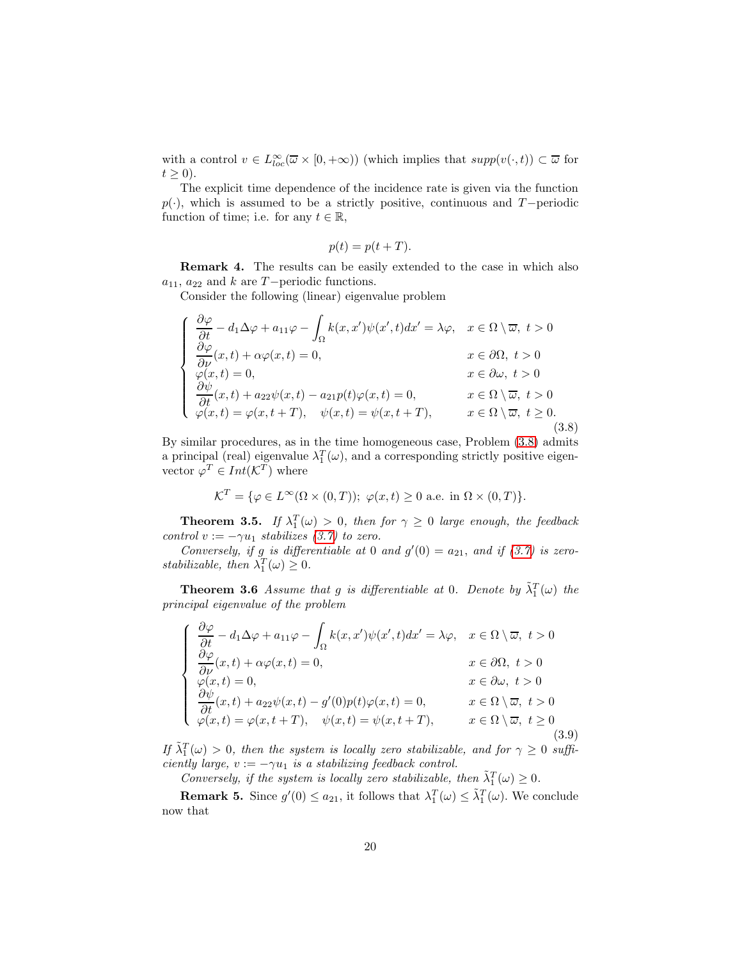with a control  $v \in L^{\infty}_{loc}(\overline{\omega} \times [0, +\infty))$  (which implies that  $supp(v(\cdot, t)) \subset \overline{\omega}$  for  $t \geq 0$ ).

The explicit time dependence of the incidence rate is given via the function  $p(\cdot)$ , which is assumed to be a strictly positive, continuous and T−periodic function of time; i.e. for any  $t \in \mathbb{R}$ ,

$$
p(t) = p(t + T).
$$

Remark 4. The results can be easily extended to the case in which also  $a_{11}$ ,  $a_{22}$  and k are T−periodic functions.

Consider the following (linear) eigenvalue problem

<span id="page-19-0"></span>
$$
\begin{cases}\n\frac{\partial \varphi}{\partial t} - d_1 \Delta \varphi + a_{11} \varphi - \int_{\Omega} k(x, x') \psi(x', t) dx' = \lambda \varphi, & x \in \Omega \setminus \overline{\omega}, \ t > 0 \\
\frac{\partial \varphi}{\partial \nu}(x, t) + \alpha \varphi(x, t) = 0, & x \in \partial \Omega, \ t > 0 \\
\varphi(x, t) = 0, & x \in \partial \omega, \ t > 0 \\
\frac{\partial \psi}{\partial t}(x, t) + a_{22} \psi(x, t) - a_{21} p(t) \varphi(x, t) = 0, & x \in \Omega \setminus \overline{\omega}, \ t > 0 \\
\varphi(x, t) = \varphi(x, t + T), & \psi(x, t) = \psi(x, t + T), & x \in \Omega \setminus \overline{\omega}, \ t \ge 0.\n\end{cases}
$$
\n(3.8)

By similar procedures, as in the time homogeneous case, Problem [\(3.8\)](#page-19-0) admits a principal (real) eigenvalue  $\lambda_1^T(\omega)$ , and a corresponding strictly positive eigenvector  $\varphi^T \in Int(\mathcal{K}^T)$  where

$$
\mathcal{K}^T = \{ \varphi \in L^{\infty}(\Omega \times (0,T)); \ \varphi(x,t) \ge 0 \text{ a.e. in } \Omega \times (0,T) \}.
$$

**Theorem 3.5.** If  $\lambda_1^T(\omega) > 0$ , then for  $\gamma \geq 0$  large enough, the feedback control  $v := -\gamma u_1$  stabilizes [\(3.7\)](#page-18-1) to zero.

Conversely, if g is differentiable at 0 and  $g'(0) = a_{21}$ , and if [\(3.7\)](#page-18-1) is zerostabilizable, then  $\lambda_1^T(\omega) \geq 0$ .

**Theorem 3.6** Assume that g is differentiable at 0. Denote by  $\tilde{\lambda}_1^T(\omega)$  the principal eigenvalue of the problem

$$
\begin{cases}\n\frac{\partial \varphi}{\partial t} - d_1 \Delta \varphi + a_{11} \varphi - \int_{\Omega} k(x, x') \psi(x', t) dx' = \lambda \varphi, & x \in \Omega \setminus \overline{\omega}, \ t > 0 \\
\frac{\partial \varphi}{\partial \nu}(x, t) + \alpha \varphi(x, t) = 0, & x \in \partial \Omega, \ t > 0 \\
\varphi(x, t) = 0, & x \in \partial \omega, \ t > 0 \\
\frac{\partial \psi}{\partial t}(x, t) + a_{22} \psi(x, t) - g'(0) p(t) \varphi(x, t) = 0, & x \in \Omega \setminus \overline{\omega}, \ t > 0 \\
\varphi(x, t) = \varphi(x, t + T), & \psi(x, t) = \psi(x, t + T), & x \in \Omega \setminus \overline{\omega}, \ t \ge 0\n\end{cases}
$$
\n(3.9)

If  $\tilde{\lambda}_1^T(\omega) > 0$ , then the system is locally zero stabilizable, and for  $\gamma \geq 0$  sufficiently large,  $v := -\gamma u_1$  is a stabilizing feedback control.

Conversely, if the system is locally zero stabilizable, then  $\tilde{\lambda}_1^T(\omega) \geq 0$ .

**Remark 5.** Since  $g'(0) \le a_{21}$ , it follows that  $\lambda_1^T(\omega) \le \tilde{\lambda}_1^T(\omega)$ . We conclude now that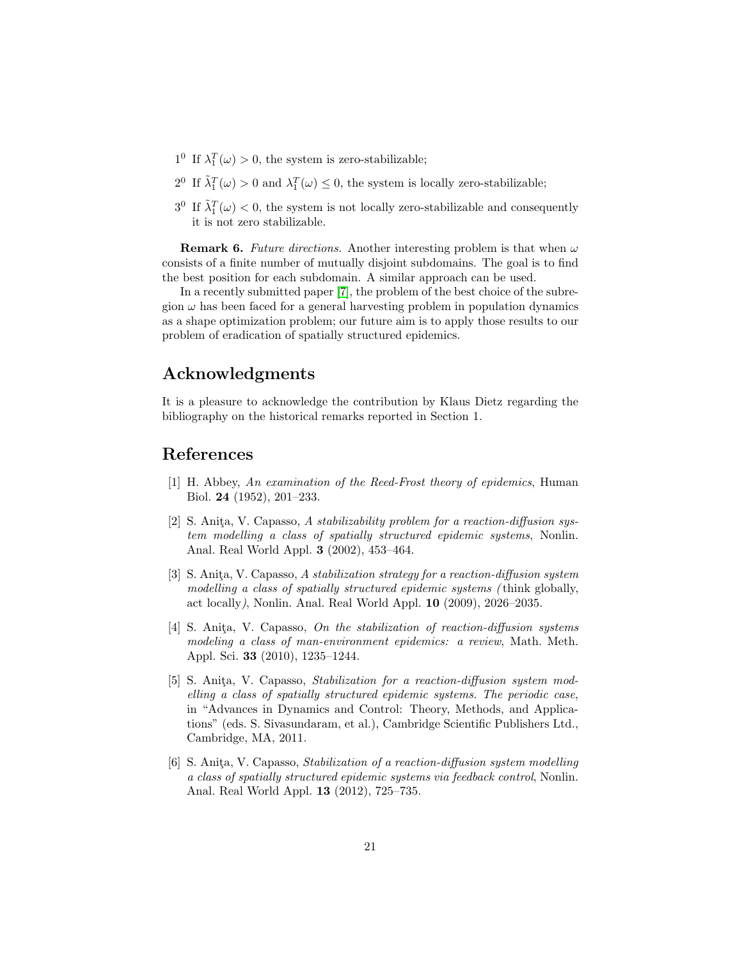- $1^0$  If  $\lambda_1^T(\omega) > 0$ , the system is zero-stabilizable;
- 2<sup>0</sup> If  $\tilde{\lambda}_1^T(\omega) > 0$  and  $\lambda_1^T(\omega) \leq 0$ , the system is locally zero-stabilizable;
- $3^0$  If  $\tilde{\lambda}_1^T(\omega) < 0$ , the system is not locally zero-stabilizable and consequently it is not zero stabilizable.

**Remark 6.** Future directions. Another interesting problem is that when  $\omega$ consists of a finite number of mutually disjoint subdomains. The goal is to find the best position for each subdomain. A similar approach can be used.

In a recently submitted paper [\[7\]](#page-21-13), the problem of the best choice of the subregion  $\omega$  has been faced for a general harvesting problem in population dynamics as a shape optimization problem; our future aim is to apply those results to our problem of eradication of spatially structured epidemics.

## Acknowledgments

It is a pleasure to acknowledge the contribution by Klaus Dietz regarding the bibliography on the historical remarks reported in Section 1.

## <span id="page-20-0"></span>References

- [1] H. Abbey, An examination of the Reed-Frost theory of epidemics, Human Biol. 24 (1952), 201–233.
- <span id="page-20-3"></span>[2] S. Anita, V. Capasso, A stabilizability problem for a reaction-diffusion system modelling a class of spatially structured epidemic systems, Nonlin. Anal. Real World Appl. 3 (2002), 453–464.
- <span id="page-20-4"></span>[3] S. Anita, V. Capasso, A stabilization strategy for a reaction-diffusion system modelling a class of spatially structured epidemic systems ( think globally, act locally), Nonlin. Anal. Real World Appl. 10 (2009), 2026–2035.
- <span id="page-20-2"></span>[4] S. Anita, V. Capasso, On the stabilization of reaction-diffusion systems modeling a class of man-environment epidemics: a review, Math. Meth. Appl. Sci. 33 (2010), 1235–1244.
- <span id="page-20-1"></span>[5] S. Anita, V. Capasso, Stabilization for a reaction-diffusion system modelling a class of spatially structured epidemic systems. The periodic case, in "Advances in Dynamics and Control: Theory, Methods, and Applications" (eds. S. Sivasundaram, et al.), Cambridge Scientific Publishers Ltd., Cambridge, MA, 2011.
- <span id="page-20-5"></span>[6] S. Anita, V. Capasso, *Stabilization of a reaction-diffusion system modelling* a class of spatially structured epidemic systems via feedback control, Nonlin. Anal. Real World Appl. 13 (2012), 725–735.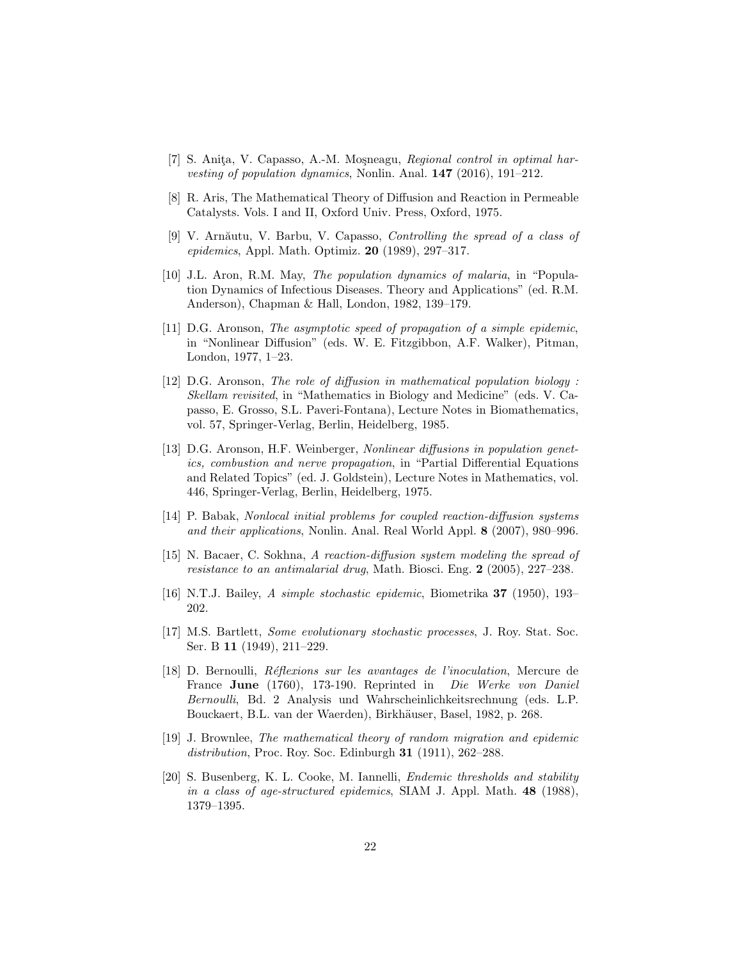- <span id="page-21-13"></span>[7] S. Anita, V. Capasso, A.-M. Mosneagu, Regional control in optimal harvesting of population dynamics, Nonlin. Anal. 147 (2016), 191–212.
- <span id="page-21-9"></span><span id="page-21-4"></span>[8] R. Aris, The Mathematical Theory of Diffusion and Reaction in Permeable Catalysts. Vols. I and II, Oxford Univ. Press, Oxford, 1975.
- [9] V. Arnăutu, V. Barbu, V. Capasso, *Controlling the spread of a class of* epidemics, Appl. Math. Optimiz.  $20$  (1989), 297-317.
- <span id="page-21-10"></span>[10] J.L. Aron, R.M. May, The population dynamics of malaria, in "Population Dynamics of Infectious Diseases. Theory and Applications" (ed. R.M. Anderson), Chapman & Hall, London, 1982, 139–179.
- <span id="page-21-6"></span>[11] D.G. Aronson, The asymptotic speed of propagation of a simple epidemic, in "Nonlinear Diffusion" (eds. W. E. Fitzgibbon, A.F. Walker), Pitman, London, 1977, 1–23.
- <span id="page-21-7"></span>[12] D.G. Aronson, The role of diffusion in mathematical population biology : Skellam revisited, in "Mathematics in Biology and Medicine" (eds. V. Capasso, E. Grosso, S.L. Paveri-Fontana), Lecture Notes in Biomathematics, vol. 57, Springer-Verlag, Berlin, Heidelberg, 1985.
- <span id="page-21-5"></span>[13] D.G. Aronson, H.F. Weinberger, Nonlinear diffusions in population genetics, combustion and nerve propagation, in "Partial Differential Equations and Related Topics" (ed. J. Goldstein), Lecture Notes in Mathematics, vol. 446, Springer-Verlag, Berlin, Heidelberg, 1975.
- <span id="page-21-12"></span>[14] P. Babak, Nonlocal initial problems for coupled reaction-diffusion systems and their applications, Nonlin. Anal. Real World Appl. 8 (2007), 980–996.
- <span id="page-21-11"></span>[15] N. Bacaer, C. Sokhna, A reaction-diffusion system modeling the spread of resistance to an antimalarial drug, Math. Biosci. Eng. 2 (2005), 227–238.
- <span id="page-21-3"></span><span id="page-21-2"></span>[16] N.T.J. Bailey, A simple stochastic epidemic, Biometrika 37 (1950), 193– 202.
- [17] M.S. Bartlett, Some evolutionary stochastic processes, J. Roy. Stat. Soc. Ser. B 11 (1949), 211–229.
- <span id="page-21-0"></span>[18] D. Bernoulli, R´eflexions sur les avantages de l'inoculation, Mercure de France June (1760), 173-190. Reprinted in Die Werke von Daniel Bernoulli, Bd. 2 Analysis und Wahrscheinlichkeitsrechnung (eds. L.P. Bouckaert, B.L. van der Waerden), Birkhäuser, Basel, 1982, p. 268.
- <span id="page-21-1"></span>[19] J. Brownlee, The mathematical theory of random migration and epidemic distribution, Proc. Roy. Soc. Edinburgh 31 (1911), 262-288.
- <span id="page-21-8"></span>[20] S. Busenberg, K. L. Cooke, M. Iannelli, Endemic thresholds and stability in a class of age-structured epidemics, SIAM J. Appl. Math. 48 (1988), 1379–1395.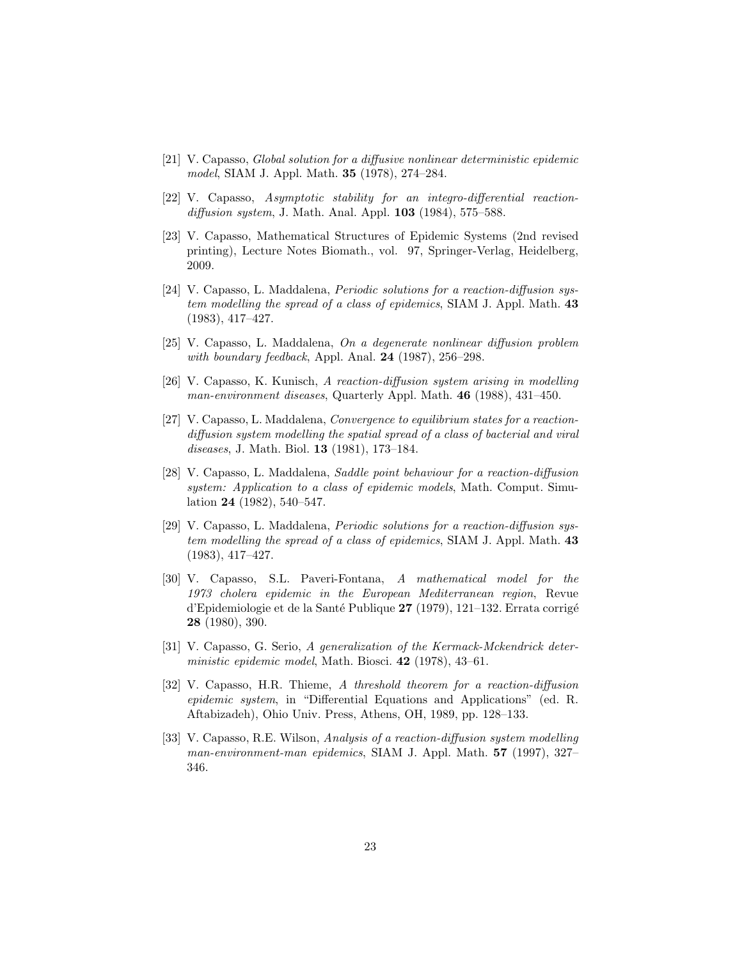- <span id="page-22-2"></span>[21] V. Capasso, Global solution for a diffusive nonlinear deterministic epidemic model, SIAM J. Appl. Math. 35 (1978), 274–284.
- <span id="page-22-4"></span><span id="page-22-3"></span>[22] V. Capasso, Asymptotic stability for an integro-differential reactiondiffusion system, J. Math. Anal. Appl. **103** (1984), 575–588.
- [23] V. Capasso, Mathematical Structures of Epidemic Systems (2nd revised printing), Lecture Notes Biomath., vol. 97, Springer-Verlag, Heidelberg, 2009.
- [24] V. Capasso, L. Maddalena, Periodic solutions for a reaction-diffusion system modelling the spread of a class of epidemics, SIAM J. Appl. Math. 43 (1983), 417–427.
- <span id="page-22-6"></span>[25] V. Capasso, L. Maddalena, On a degenerate nonlinear diffusion problem with boundary feedback, Appl. Anal.  $24$  (1987), 256–298.
- <span id="page-22-8"></span>[26] V. Capasso, K. Kunisch, A reaction-diffusion system arising in modelling man-environment diseases, Quarterly Appl. Math.  $46$  (1988), 431–450.
- <span id="page-22-5"></span>[27] V. Capasso, L. Maddalena, *Convergence to equilibrium states for a reaction*diffusion system modelling the spatial spread of a class of bacterial and viral diseases, J. Math. Biol. 13 (1981), 173–184.
- <span id="page-22-9"></span>[28] V. Capasso, L. Maddalena, Saddle point behaviour for a reaction-diffusion system: Application to a class of epidemic models, Math. Comput. Simulation 24 (1982), 540–547.
- <span id="page-22-7"></span>[29] V. Capasso, L. Maddalena, Periodic solutions for a reaction-diffusion system modelling the spread of a class of epidemics, SIAM J. Appl. Math. 43 (1983), 417–427.
- <span id="page-22-0"></span>[30] V. Capasso, S.L. Paveri-Fontana, A mathematical model for the 1973 cholera epidemic in the European Mediterranean region, Revue d'Epidemiologie et de la Santé Publique  $27$  (1979), 121–132. Errata corrigé 28 (1980), 390.
- <span id="page-22-1"></span>[31] V. Capasso, G. Serio, A generalization of the Kermack-Mckendrick deterministic epidemic model, Math. Biosci. 42 (1978), 43–61.
- <span id="page-22-11"></span>[32] V. Capasso, H.R. Thieme, A threshold theorem for a reaction-diffusion epidemic system, in "Differential Equations and Applications" (ed. R. Aftabizadeh), Ohio Univ. Press, Athens, OH, 1989, pp. 128–133.
- <span id="page-22-10"></span>[33] V. Capasso, R.E. Wilson, Analysis of a reaction-diffusion system modelling man-environment-man epidemics, SIAM J. Appl. Math. 57 (1997), 327– 346.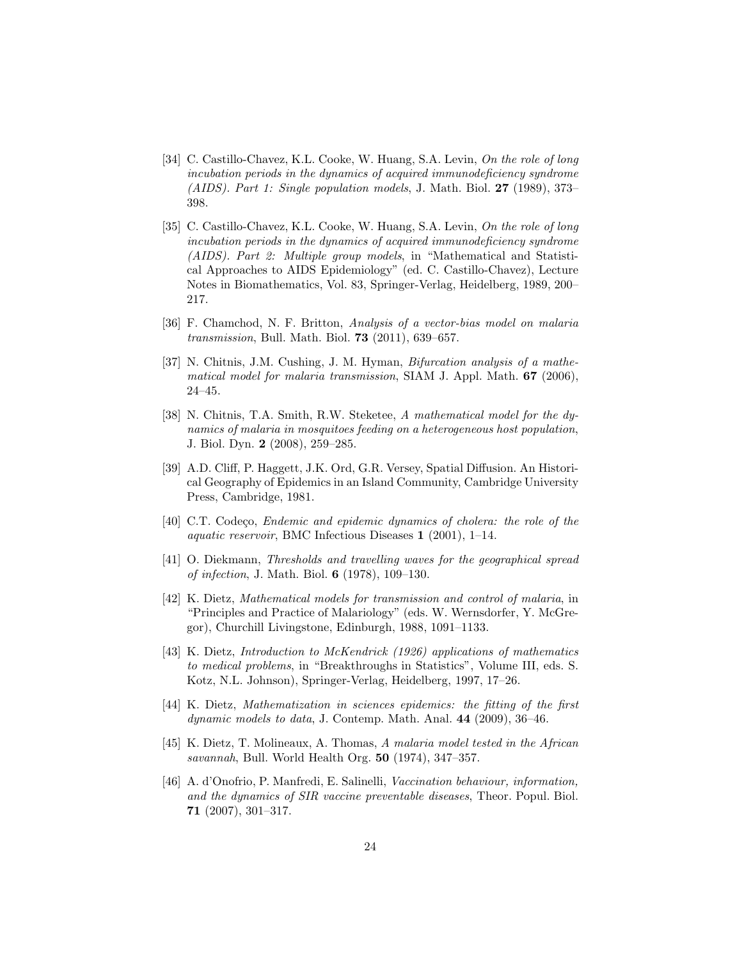- <span id="page-23-3"></span>[34] C. Castillo-Chavez, K.L. Cooke, W. Huang, S.A. Levin, On the role of long incubation periods in the dynamics of acquired immunodeficiency syndrome (AIDS). Part 1: Single population models, J. Math. Biol. 27 (1989), 373– 398.
- <span id="page-23-4"></span>[35] C. Castillo-Chavez, K.L. Cooke, W. Huang, S.A. Levin, On the role of long incubation periods in the dynamics of acquired immunodeficiency syndrome (AIDS). Part 2: Multiple group models, in "Mathematical and Statistical Approaches to AIDS Epidemiology" (ed. C. Castillo-Chavez), Lecture Notes in Biomathematics, Vol. 83, Springer-Verlag, Heidelberg, 1989, 200– 217.
- <span id="page-23-12"></span>[36] F. Chamchod, N. F. Britton, Analysis of a vector-bias model on malaria transmission, Bull. Math. Biol. 73 (2011), 639–657.
- <span id="page-23-9"></span>[37] N. Chitnis, J.M. Cushing, J. M. Hyman, *Bifurcation analysis of a mathe*matical model for malaria transmission, SIAM J. Appl. Math.  $67$  (2006), 24–45.
- <span id="page-23-10"></span>[38] N. Chitnis, T.A. Smith, R.W. Steketee, A mathematical model for the dynamics of malaria in mosquitoes feeding on a heterogeneous host population, J. Biol. Dyn. 2 (2008), 259–285.
- <span id="page-23-5"></span>[39] A.D. Cliff, P. Haggett, J.K. Ord, G.R. Versey, Spatial Diffusion. An Historical Geography of Epidemics in an Island Community, Cambridge University Press, Cambridge, 1981.
- <span id="page-23-7"></span>[40] C.T. Codeço, *Endemic and epidemic dynamics of cholera: the role of the* aquatic reservoir, BMC Infectious Diseases 1 (2001), 1–14.
- <span id="page-23-6"></span>[41] O. Diekmann, Thresholds and travelling waves for the geographical spread of infection, J. Math. Biol. 6 (1978), 109–130.
- <span id="page-23-8"></span>[42] K. Dietz, Mathematical models for transmission and control of malaria, in "Principles and Practice of Malariology" (eds. W. Wernsdorfer, Y. McGregor), Churchill Livingstone, Edinburgh, 1988, 1091–1133.
- <span id="page-23-0"></span>[43] K. Dietz, Introduction to McKendrick (1926) applications of mathematics to medical problems, in "Breakthroughs in Statistics", Volume III, eds. S. Kotz, N.L. Johnson), Springer-Verlag, Heidelberg, 1997, 17–26.
- <span id="page-23-1"></span>[44] K. Dietz, Mathematization in sciences epidemics: the fitting of the first dynamic models to data, J. Contemp. Math. Anal. 44 (2009), 36–46.
- <span id="page-23-11"></span>[45] K. Dietz, T. Molineaux, A. Thomas, A malaria model tested in the African savannah, Bull. World Health Org. 50 (1974), 347–357.
- <span id="page-23-2"></span>[46] A. d'Onofrio, P. Manfredi, E. Salinelli, Vaccination behaviour, information, and the dynamics of SIR vaccine preventable diseases, Theor. Popul. Biol. 71 (2007), 301–317.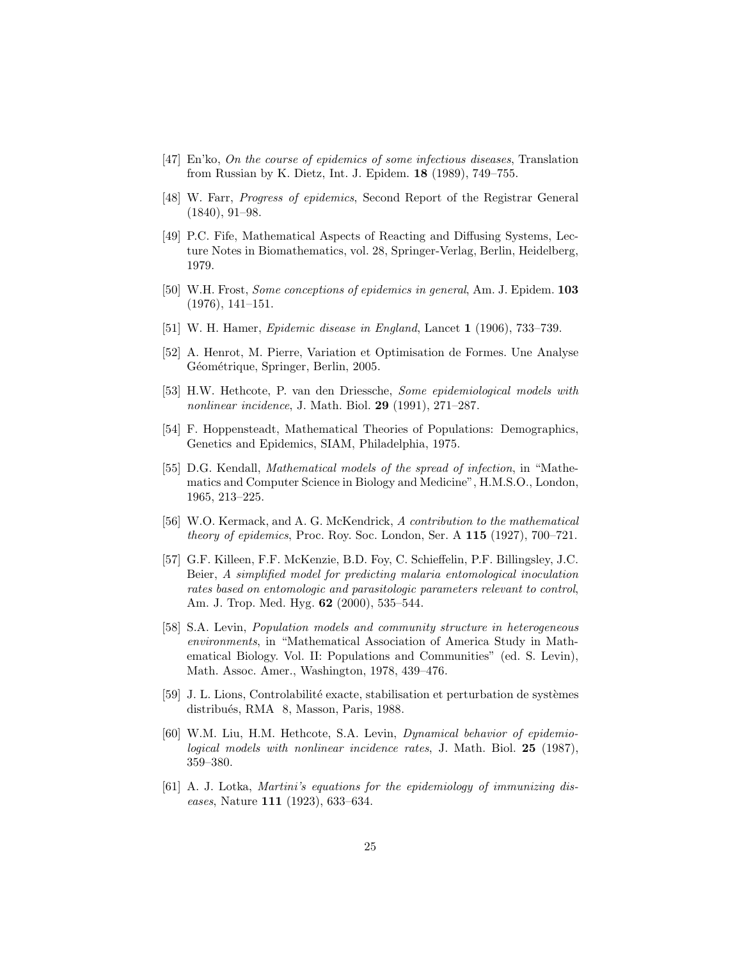- <span id="page-24-5"></span>[47] En'ko, On the course of epidemics of some infectious diseases, Translation from Russian by K. Dietz, Int. J. Epidem. 18 (1989), 749–755.
- <span id="page-24-8"></span><span id="page-24-0"></span>[48] W. Farr, Progress of epidemics, Second Report of the Registrar General (1840), 91–98.
- [49] P.C. Fife, Mathematical Aspects of Reacting and Diffusing Systems, Lecture Notes in Biomathematics, vol. 28, Springer-Verlag, Berlin, Heidelberg, 1979.
- <span id="page-24-4"></span><span id="page-24-1"></span>[50] W.H. Frost, Some conceptions of epidemics in general, Am. J. Epidem. 103 (1976), 141–151.
- <span id="page-24-13"></span>[51] W. H. Hamer, Epidemic disease in England, Lancet 1 (1906), 733–739.
- [52] A. Henrot, M. Pierre, Variation et Optimisation de Formes. Une Analyse Géométrique, Springer, Berlin, 2005.
- <span id="page-24-7"></span>[53] H.W. Hethcote, P. van den Driessche, Some epidemiological models with nonlinear incidence, J. Math. Biol. 29 (1991), 271–287.
- <span id="page-24-11"></span>[54] F. Hoppensteadt, Mathematical Theories of Populations: Demographics, Genetics and Epidemics, SIAM, Philadelphia, 1975.
- <span id="page-24-9"></span>[55] D.G. Kendall, Mathematical models of the spread of infection, in "Mathematics and Computer Science in Biology and Medicine", H.M.S.O., London, 1965, 213–225.
- <span id="page-24-3"></span>[56] W.O. Kermack, and A. G. McKendrick, A contribution to the mathematical *theory of epidemics*, Proc. Roy. Soc. London, Ser. A  $115$  (1927), 700–721.
- <span id="page-24-12"></span>[57] G.F. Killeen, F.F. McKenzie, B.D. Foy, C. Schieffelin, P.F. Billingsley, J.C. Beier, A simplified model for predicting malaria entomological inoculation rates based on entomologic and parasitologic parameters relevant to control, Am. J. Trop. Med. Hyg. 62 (2000), 535–544.
- <span id="page-24-10"></span>[58] S.A. Levin, Population models and community structure in heterogeneous environments, in "Mathematical Association of America Study in Mathematical Biology. Vol. II: Populations and Communities" (ed. S. Levin), Math. Assoc. Amer., Washington, 1978, 439–476.
- <span id="page-24-14"></span>[59] J. L. Lions, Controlabilité exacte, stabilisation et perturbation de systèmes distribués, RMA 8, Masson, Paris, 1988.
- <span id="page-24-6"></span>[60] W.M. Liu, H.M. Hethcote, S.A. Levin, Dynamical behavior of epidemiological models with nonlinear incidence rates, J. Math. Biol. 25 (1987), 359–380.
- <span id="page-24-2"></span>[61] A. J. Lotka, *Martini's equations for the epidemiology of immunizing dis*eases, Nature 111 (1923), 633–634.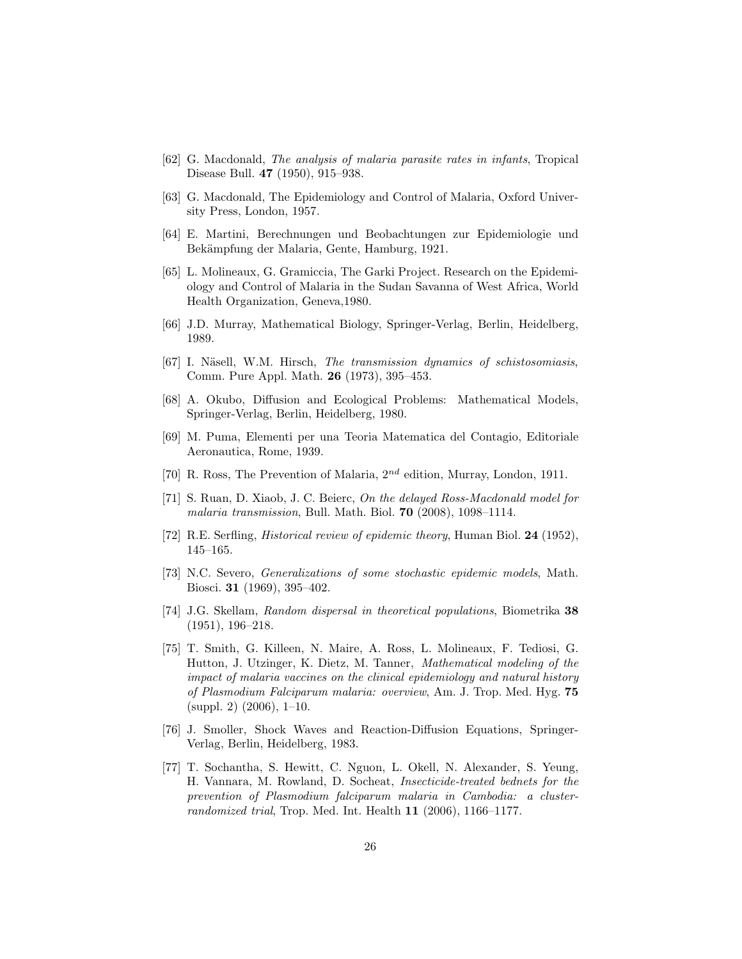- <span id="page-25-11"></span><span id="page-25-3"></span>[62] G. Macdonald, The analysis of malaria parasite rates in infants, Tropical Disease Bull. 47 (1950), 915–938.
- <span id="page-25-1"></span>[63] G. Macdonald, The Epidemiology and Control of Malaria, Oxford University Press, London, 1957.
- <span id="page-25-12"></span>[64] E. Martini, Berechnungen und Beobachtungen zur Epidemiologie und Bekämpfung der Malaria, Gente, Hamburg, 1921.
- [65] L. Molineaux, G. Gramiccia, The Garki Project. Research on the Epidemiology and Control of Malaria in the Sudan Savanna of West Africa, World Health Organization, Geneva,1980.
- <span id="page-25-10"></span><span id="page-25-6"></span>[66] J.D. Murray, Mathematical Biology, Springer-Verlag, Berlin, Heidelberg, 1989.
- [67] I. Näsell, W.M. Hirsch, The transmission dynamics of schistosomiasis, Comm. Pure Appl. Math. 26 (1973), 395–453.
- <span id="page-25-7"></span>[68] A. Okubo, Diffusion and Ecological Problems: Mathematical Models, Springer-Verlag, Berlin, Heidelberg, 1980.
- <span id="page-25-2"></span>[69] M. Puma, Elementi per una Teoria Matematica del Contagio, Editoriale Aeronautica, Rome, 1939.
- <span id="page-25-13"></span><span id="page-25-0"></span>[70] R. Ross, The Prevention of Malaria,  $2^{nd}$  edition, Murray, London, 1911.
- [71] S. Ruan, D. Xiaob, J. C. Beierc, On the delayed Ross-Macdonald model for malaria transmission, Bull. Math. Biol. 70 (2008), 1098–1114.
- <span id="page-25-5"></span><span id="page-25-4"></span>[72] R.E. Serfling, Historical review of epidemic theory, Human Biol. 24 (1952), 145–165.
- [73] N.C. Severo, Generalizations of some stochastic epidemic models, Math. Biosci. 31 (1969), 395–402.
- <span id="page-25-8"></span>[74] J.G. Skellam, Random dispersal in theoretical populations, Biometrika 38 (1951), 196–218.
- <span id="page-25-14"></span>[75] T. Smith, G. Killeen, N. Maire, A. Ross, L. Molineaux, F. Tediosi, G. Hutton, J. Utzinger, K. Dietz, M. Tanner, Mathematical modeling of the impact of malaria vaccines on the clinical epidemiology and natural history of Plasmodium Falciparum malaria: overview, Am. J. Trop. Med. Hyg. 75 (suppl. 2) (2006), 1–10.
- <span id="page-25-9"></span>[76] J. Smoller, Shock Waves and Reaction-Diffusion Equations, Springer-Verlag, Berlin, Heidelberg, 1983.
- <span id="page-25-15"></span>[77] T. Sochantha, S. Hewitt, C. Nguon, L. Okell, N. Alexander, S. Yeung, H. Vannara, M. Rowland, D. Socheat, Insecticide-treated bednets for the prevention of Plasmodium falciparum malaria in Cambodia: a clusterrandomized trial, Trop. Med. Int. Health 11 (2006), 1166–1177.